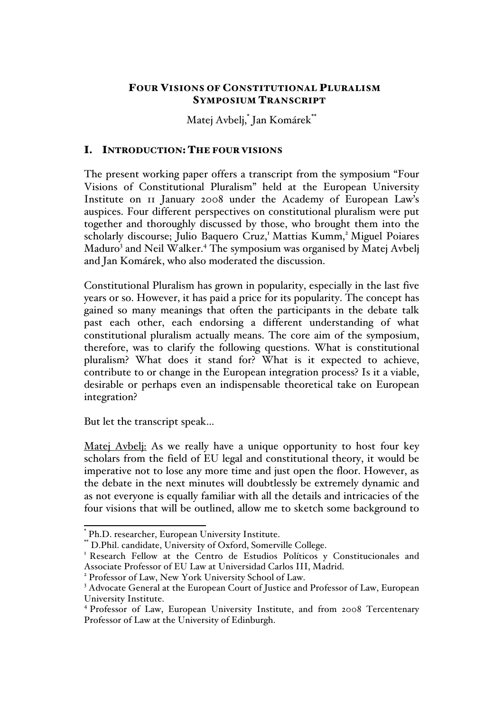# FOUR VISIONS OF CONSTITUTIONAL PLURALISM SYMPOSIUM TRANSCRIPT

Matej Avbelj,\* Jan Komárek\*\*

# I. INTRODUCTION: THE FOUR VISIONS

The present working paper offers a transcript from the symposium "Four Visions of Constitutional Pluralism" held at the European University Institute on 11 January 2008 under the Academy of European Law's auspices. Four different perspectives on constitutional pluralism were put together and thoroughly discussed by those, who brought them into the scholarly discourse; Julio Baquero Cruz,<sup>1</sup> Mattias Kumm,<sup>2</sup> Miguel Poiares Maduro<sup>3</sup> and Neil Walker.<sup>4</sup> The symposium was organised by Matej Avbelj and Jan Komárek, who also moderated the discussion.

Constitutional Pluralism has grown in popularity, especially in the last five years or so. However, it has paid a price for its popularity. The concept has gained so many meanings that often the participants in the debate talk past each other, each endorsing a different understanding of what constitutional pluralism actually means. The core aim of the symposium, therefore, was to clarify the following questions. What is constitutional pluralism? What does it stand for? What is it expected to achieve, contribute to or change in the European integration process? Is it a viable, desirable or perhaps even an indispensable theoretical take on European integration?

But let the transcript speak…

Matej Avbelj: As we really have a unique opportunity to host four key scholars from the field of EU legal and constitutional theory, it would be imperative not to lose any more time and just open the floor. However, as the debate in the next minutes will doubtlessly be extremely dynamic and as not everyone is equally familiar with all the details and intricacies of the four visions that will be outlined, allow me to sketch some background to

 <sup>\*</sup> Ph.D. researcher, European University Institute.

<sup>\*\*</sup> D.Phil. candidate, University of Oxford, Somerville College.<br><sup>1</sup> Research Fellow at the Centro de Estudios Políticos y Constitucionales and Associate Professor of EU Law at Universidad Carlos III, Madrid.

<sup>2</sup> Professor of Law, New York University School of Law.

<sup>&</sup>lt;sup>3</sup> Advocate General at the European Court of Justice and Professor of Law, European University Institute.

<sup>4</sup> Professor of Law, European University Institute, and from 2008 Tercentenary Professor of Law at the University of Edinburgh.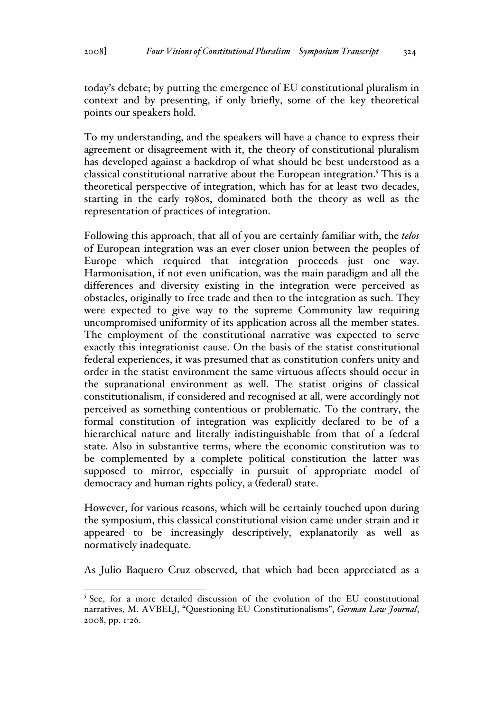today's debate; by putting the emergence of EU constitutional pluralism in context and by presenting, if only briefly, some of the key theoretical points our speakers hold.

To my understanding, and the speakers will have a chance to express their agreement or disagreement with it, the theory of constitutional pluralism has developed against a backdrop of what should be best understood as a classical constitutional narrative about the European integration.<sup>5</sup> This is a theoretical perspective of integration, which has for at least two decades, starting in the early 1980s, dominated both the theory as well as the representation of practices of integration.

Following this approach, that all of you are certainly familiar with, the *telos* of European integration was an ever closer union between the peoples of Europe which required that integration proceeds just one way. Harmonisation, if not even unification, was the main paradigm and all the differences and diversity existing in the integration were perceived as obstacles, originally to free trade and then to the integration as such. They were expected to give way to the supreme Community law requiring uncompromised uniformity of its application across all the member states. The employment of the constitutional narrative was expected to serve exactly this integrationist cause. On the basis of the statist constitutional federal experiences, it was presumed that as constitution confers unity and order in the statist environment the same virtuous affects should occur in the supranational environment as well. The statist origins of classical constitutionalism, if considered and recognised at all, were accordingly not perceived as something contentious or problematic. To the contrary, the formal constitution of integration was explicitly declared to be of a hierarchical nature and literally indistinguishable from that of a federal state. Also in substantive terms, where the economic constitution was to be complemented by a complete political constitution the latter was supposed to mirror, especially in pursuit of appropriate model of democracy and human rights policy, a (federal) state.

However, for various reasons, which will be certainly touched upon during the symposium, this classical constitutional vision came under strain and it appeared to be increasingly descriptively, explanatorily as well as normatively inadequate.

As Julio Baquero Cruz observed, that which had been appreciated as a

 $5$  See, for a more detailed discussion of the evolution of the EU constitutional narratives, M. AVBELJ, "Questioning EU Constitutionalisms", *German Law Journal*, 2008, pp. 1-26.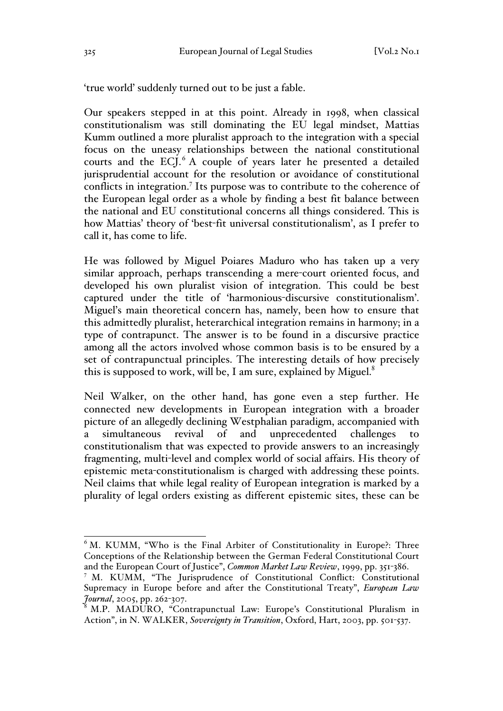'true world' suddenly turned out to be just a fable.

Our speakers stepped in at this point. Already in 1998, when classical constitutionalism was still dominating the EU legal mindset, Mattias Kumm outlined a more pluralist approach to the integration with a special focus on the uneasy relationships between the national constitutional courts and the ECJ.<sup>6</sup> A couple of years later he presented a detailed jurisprudential account for the resolution or avoidance of constitutional conflicts in integration.<sup>7</sup> Its purpose was to contribute to the coherence of the European legal order as a whole by finding a best fit balance between the national and EU constitutional concerns all things considered. This is how Mattias' theory of 'best-fit universal constitutionalism', as I prefer to call it, has come to life.

He was followed by Miguel Poiares Maduro who has taken up a very similar approach, perhaps transcending a mere-court oriented focus, and developed his own pluralist vision of integration. This could be best captured under the title of 'harmonious-discursive constitutionalism'. Miguel's main theoretical concern has, namely, been how to ensure that this admittedly pluralist, heterarchical integration remains in harmony; in a type of contrapunct. The answer is to be found in a discursive practice among all the actors involved whose common basis is to be ensured by a set of contrapunctual principles. The interesting details of how precisely this is supposed to work, will be, I am sure, explained by Miguel. $^8$ 

Neil Walker, on the other hand, has gone even a step further. He connected new developments in European integration with a broader picture of an allegedly declining Westphalian paradigm, accompanied with a simultaneous revival of and unprecedented challenges constitutionalism that was expected to provide answers to an increasingly fragmenting, multi-level and complex world of social affairs. His theory of epistemic meta-constitutionalism is charged with addressing these points. Neil claims that while legal reality of European integration is marked by a plurality of legal orders existing as different epistemic sites, these can be

 $6$  M. KUMM, "Who is the Final Arbiter of Constitutionality in Europe?: Three Conceptions of the Relationship between the German Federal Constitutional Court and the European Court of Justice", *Common Market Law Review*, 1999, pp. 351-386.

<sup>7</sup> M. KUMM, "The Jurisprudence of Constitutional Conflict: Constitutional Supremacy in Europe before and after the Constitutional Treaty", *European Law Journal*, 2005, pp. 262-307.

<sup>8</sup> M.P. MADURO, "Contrapunctual Law: Europe's Constitutional Pluralism in Action", in N. WALKER, *Sovereignty in Transition*, Oxford, Hart, 2003, pp. 501-537.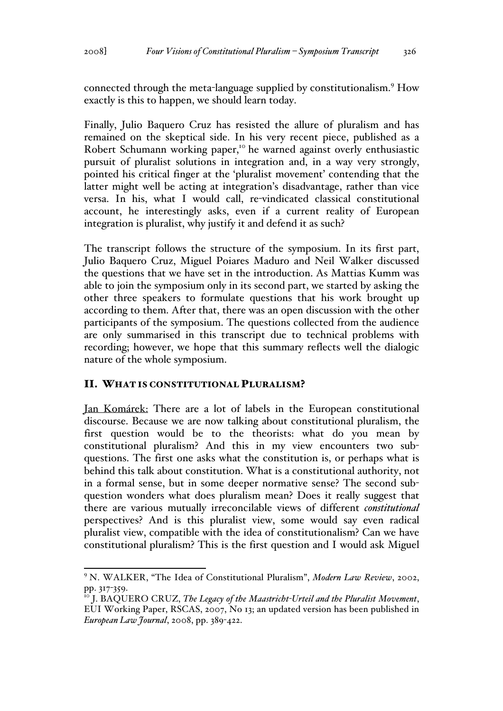connected through the meta-language supplied by constitutionalism.<sup>9</sup> How exactly is this to happen, we should learn today.

Finally, Julio Baquero Cruz has resisted the allure of pluralism and has remained on the skeptical side. In his very recent piece, published as a Robert Schumann working paper,<sup>10</sup> he warned against overly enthusiastic pursuit of pluralist solutions in integration and, in a way very strongly, pointed his critical finger at the 'pluralist movement' contending that the latter might well be acting at integration's disadvantage, rather than vice versa. In his, what I would call, re-vindicated classical constitutional account, he interestingly asks, even if a current reality of European integration is pluralist, why justify it and defend it as such?

The transcript follows the structure of the symposium. In its first part, Julio Baquero Cruz, Miguel Poiares Maduro and Neil Walker discussed the questions that we have set in the introduction. As Mattias Kumm was able to join the symposium only in its second part, we started by asking the other three speakers to formulate questions that his work brought up according to them. After that, there was an open discussion with the other participants of the symposium. The questions collected from the audience are only summarised in this transcript due to technical problems with recording; however, we hope that this summary reflects well the dialogic nature of the whole symposium.

### II. WHAT IS CONSTITUTIONAL PLURALISM?

Jan Komárek: There are a lot of labels in the European constitutional discourse. Because we are now talking about constitutional pluralism, the first question would be to the theorists: what do you mean by constitutional pluralism? And this in my view encounters two subquestions. The first one asks what the constitution is, or perhaps what is behind this talk about constitution. What is a constitutional authority, not in a formal sense, but in some deeper normative sense? The second subquestion wonders what does pluralism mean? Does it really suggest that there are various mutually irreconcilable views of different *constitutional* perspectives? And is this pluralist view, some would say even radical pluralist view, compatible with the idea of constitutionalism? Can we have constitutional pluralism? This is the first question and I would ask Miguel

 <sup>9</sup> N. WALKER, "The Idea of Constitutional Pluralism", *Modern Law Review*, 2002, pp. 317-359.<br><sup>10</sup> J. BAQUERO CRUZ, *The Legacy of the Maastricht-Urteil and the Pluralist Movement*,

EUI Working Paper, RSCAS, 2007, No 13; an updated version has been published in *European Law Journal*, 2008, pp. 389-422.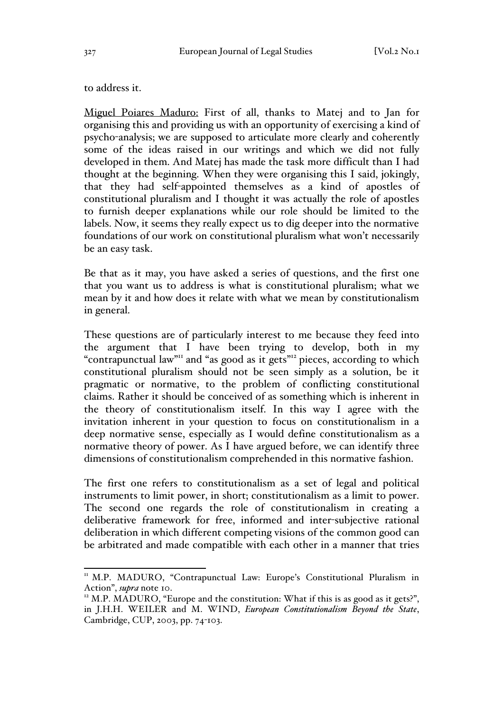to address it.

Miguel Poiares Maduro: First of all, thanks to Matej and to Jan for organising this and providing us with an opportunity of exercising a kind of psycho-analysis; we are supposed to articulate more clearly and coherently some of the ideas raised in our writings and which we did not fully developed in them. And Matej has made the task more difficult than I had thought at the beginning. When they were organising this I said, jokingly, that they had self-appointed themselves as a kind of apostles of constitutional pluralism and I thought it was actually the role of apostles to furnish deeper explanations while our role should be limited to the labels. Now, it seems they really expect us to dig deeper into the normative foundations of our work on constitutional pluralism what won't necessarily be an easy task.

Be that as it may, you have asked a series of questions, and the first one that you want us to address is what is constitutional pluralism; what we mean by it and how does it relate with what we mean by constitutionalism in general.

These questions are of particularly interest to me because they feed into the argument that I have been trying to develop, both in my "contrapunctual law"<sup>11</sup> and "as good as it gets"<sup>12</sup> pieces, according to which constitutional pluralism should not be seen simply as a solution, be it pragmatic or normative, to the problem of conflicting constitutional claims. Rather it should be conceived of as something which is inherent in the theory of constitutionalism itself. In this way I agree with the invitation inherent in your question to focus on constitutionalism in a deep normative sense, especially as I would define constitutionalism as a normative theory of power. As I have argued before, we can identify three dimensions of constitutionalism comprehended in this normative fashion.

The first one refers to constitutionalism as a set of legal and political instruments to limit power, in short; constitutionalism as a limit to power. The second one regards the role of constitutionalism in creating a deliberative framework for free, informed and inter-subjective rational deliberation in which different competing visions of the common good can be arbitrated and made compatible with each other in a manner that tries

<sup>&</sup>lt;sup>11</sup> M.P. MADURO, "Contrapunctual Law: Europe's Constitutional Pluralism in Action", *supra* note 10.<br><sup>12</sup> M.P. MADURO, "Europe and the constitution: What if this is as good as it gets?",

in J.H.H. WEILER and M. WIND, *European Constitutionalism Beyond the State*, Cambridge, CUP, 2003, pp. 74-103.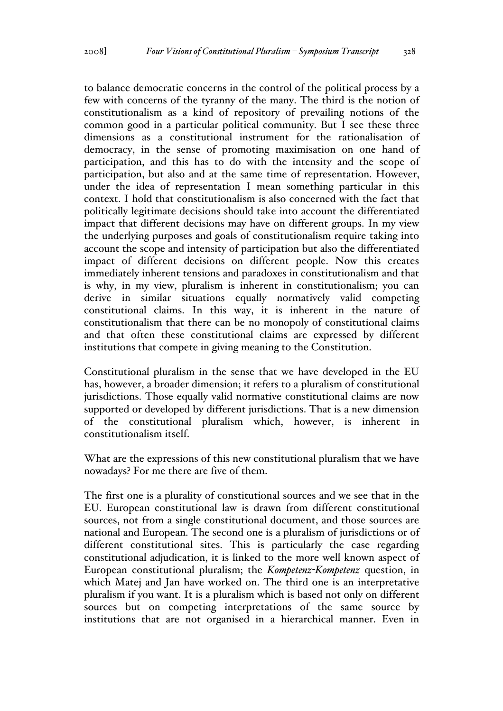to balance democratic concerns in the control of the political process by a few with concerns of the tyranny of the many. The third is the notion of constitutionalism as a kind of repository of prevailing notions of the common good in a particular political community. But I see these three dimensions as a constitutional instrument for the rationalisation of democracy, in the sense of promoting maximisation on one hand of participation, and this has to do with the intensity and the scope of participation, but also and at the same time of representation. However, under the idea of representation I mean something particular in this context. I hold that constitutionalism is also concerned with the fact that politically legitimate decisions should take into account the differentiated impact that different decisions may have on different groups. In my view the underlying purposes and goals of constitutionalism require taking into account the scope and intensity of participation but also the differentiated impact of different decisions on different people. Now this creates immediately inherent tensions and paradoxes in constitutionalism and that is why, in my view, pluralism is inherent in constitutionalism; you can derive in similar situations equally normatively valid competing constitutional claims. In this way, it is inherent in the nature of constitutionalism that there can be no monopoly of constitutional claims and that often these constitutional claims are expressed by different institutions that compete in giving meaning to the Constitution.

Constitutional pluralism in the sense that we have developed in the EU has, however, a broader dimension; it refers to a pluralism of constitutional jurisdictions. Those equally valid normative constitutional claims are now supported or developed by different jurisdictions. That is a new dimension of the constitutional pluralism which, however, is inherent in constitutionalism itself.

What are the expressions of this new constitutional pluralism that we have nowadays? For me there are five of them.

The first one is a plurality of constitutional sources and we see that in the EU. European constitutional law is drawn from different constitutional sources, not from a single constitutional document, and those sources are national and European. The second one is a pluralism of jurisdictions or of different constitutional sites. This is particularly the case regarding constitutional adjudication, it is linked to the more well known aspect of European constitutional pluralism; the *Kompetenz-Kompetenz* question, in which Matej and Jan have worked on. The third one is an interpretative pluralism if you want. It is a pluralism which is based not only on different sources but on competing interpretations of the same source by institutions that are not organised in a hierarchical manner. Even in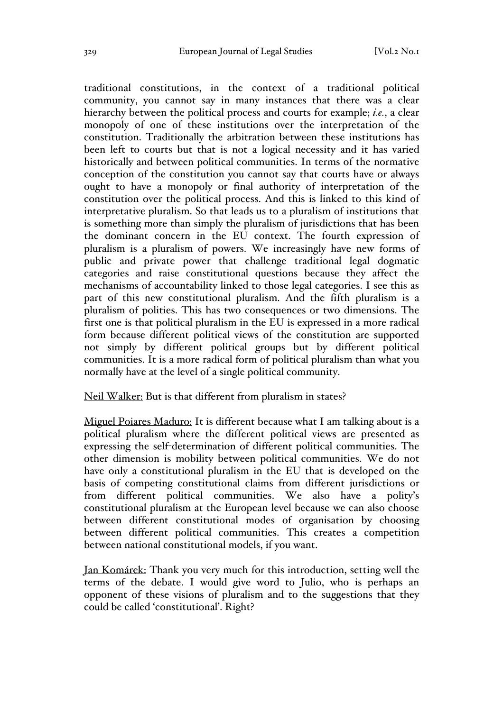traditional constitutions, in the context of a traditional political community, you cannot say in many instances that there was a clear hierarchy between the political process and courts for example; *i.e.*, a clear monopoly of one of these institutions over the interpretation of the constitution. Traditionally the arbitration between these institutions has been left to courts but that is not a logical necessity and it has varied historically and between political communities. In terms of the normative conception of the constitution you cannot say that courts have or always ought to have a monopoly or final authority of interpretation of the constitution over the political process. And this is linked to this kind of interpretative pluralism. So that leads us to a pluralism of institutions that is something more than simply the pluralism of jurisdictions that has been the dominant concern in the EU context. The fourth expression of pluralism is a pluralism of powers. We increasingly have new forms of public and private power that challenge traditional legal dogmatic categories and raise constitutional questions because they affect the mechanisms of accountability linked to those legal categories. I see this as part of this new constitutional pluralism. And the fifth pluralism is a pluralism of polities. This has two consequences or two dimensions. The first one is that political pluralism in the EU is expressed in a more radical form because different political views of the constitution are supported not simply by different political groups but by different political communities. It is a more radical form of political pluralism than what you normally have at the level of a single political community.

Neil Walker: But is that different from pluralism in states?

Miguel Poiares Maduro: It is different because what I am talking about is a political pluralism where the different political views are presented as expressing the self-determination of different political communities. The other dimension is mobility between political communities. We do not have only a constitutional pluralism in the EU that is developed on the basis of competing constitutional claims from different jurisdictions or from different political communities. We also have a polity's constitutional pluralism at the European level because we can also choose between different constitutional modes of organisation by choosing between different political communities. This creates a competition between national constitutional models, if you want.

Jan Komárek: Thank you very much for this introduction, setting well the terms of the debate. I would give word to Julio, who is perhaps an opponent of these visions of pluralism and to the suggestions that they could be called 'constitutional'. Right?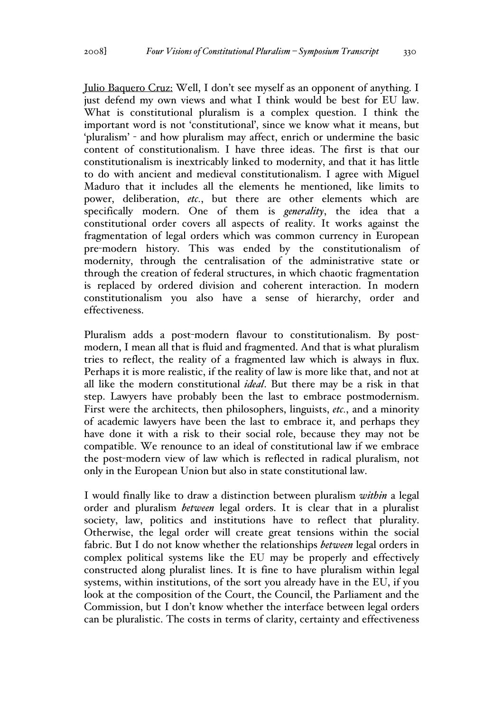Julio Baquero Cruz: Well, I don't see myself as an opponent of anything. I just defend my own views and what I think would be best for EU law. What is constitutional pluralism is a complex question. I think the important word is not 'constitutional', since we know what it means, but 'pluralism' - and how pluralism may affect, enrich or undermine the basic content of constitutionalism. I have three ideas. The first is that our constitutionalism is inextricably linked to modernity, and that it has little to do with ancient and medieval constitutionalism. I agree with Miguel Maduro that it includes all the elements he mentioned, like limits to power, deliberation, *etc.*, but there are other elements which are specifically modern. One of them is *generality*, the idea that a constitutional order covers all aspects of reality. It works against the fragmentation of legal orders which was common currency in European pre-modern history. This was ended by the constitutionalism of modernity, through the centralisation of the administrative state or through the creation of federal structures, in which chaotic fragmentation is replaced by ordered division and coherent interaction. In modern constitutionalism you also have a sense of hierarchy, order and effectiveness.

Pluralism adds a post-modern flavour to constitutionalism. By postmodern, I mean all that is fluid and fragmented. And that is what pluralism tries to reflect, the reality of a fragmented law which is always in flux. Perhaps it is more realistic, if the reality of law is more like that, and not at all like the modern constitutional *ideal*. But there may be a risk in that step. Lawyers have probably been the last to embrace postmodernism. First were the architects, then philosophers, linguists, *etc.*, and a minority of academic lawyers have been the last to embrace it, and perhaps they have done it with a risk to their social role, because they may not be compatible. We renounce to an ideal of constitutional law if we embrace the post-modern view of law which is reflected in radical pluralism, not only in the European Union but also in state constitutional law.

I would finally like to draw a distinction between pluralism *within* a legal order and pluralism *between* legal orders. It is clear that in a pluralist society, law, politics and institutions have to reflect that plurality. Otherwise, the legal order will create great tensions within the social fabric. But I do not know whether the relationships *between* legal orders in complex political systems like the EU may be properly and effectively constructed along pluralist lines. It is fine to have pluralism within legal systems, within institutions, of the sort you already have in the EU, if you look at the composition of the Court, the Council, the Parliament and the Commission, but I don't know whether the interface between legal orders can be pluralistic. The costs in terms of clarity, certainty and effectiveness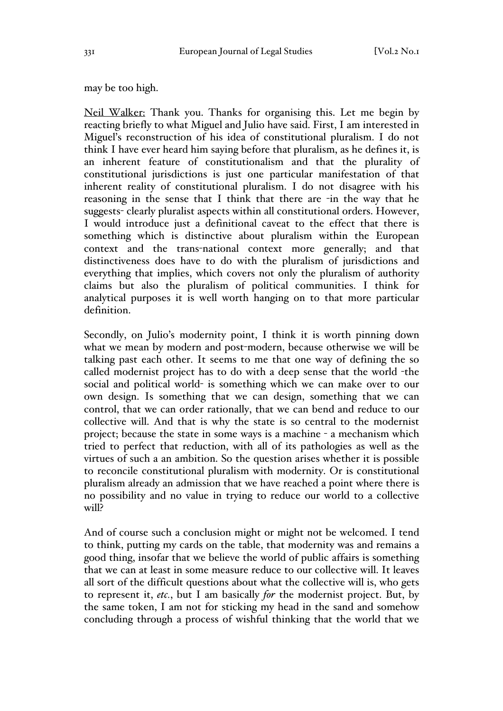may be too high.

Neil Walker: Thank you. Thanks for organising this. Let me begin by reacting briefly to what Miguel and Julio have said. First, I am interested in Miguel's reconstruction of his idea of constitutional pluralism. I do not think I have ever heard him saying before that pluralism, as he defines it, is an inherent feature of constitutionalism and that the plurality of constitutional jurisdictions is just one particular manifestation of that inherent reality of constitutional pluralism. I do not disagree with his reasoning in the sense that I think that there are -in the way that he suggests- clearly pluralist aspects within all constitutional orders. However, I would introduce just a definitional caveat to the effect that there is something which is distinctive about pluralism within the European context and the trans-national context more generally; and that distinctiveness does have to do with the pluralism of jurisdictions and everything that implies, which covers not only the pluralism of authority claims but also the pluralism of political communities. I think for analytical purposes it is well worth hanging on to that more particular definition.

Secondly, on Julio's modernity point, I think it is worth pinning down what we mean by modern and post-modern, because otherwise we will be talking past each other. It seems to me that one way of defining the so called modernist project has to do with a deep sense that the world -the social and political world- is something which we can make over to our own design. Is something that we can design, something that we can control, that we can order rationally, that we can bend and reduce to our collective will. And that is why the state is so central to the modernist project; because the state in some ways is a machine - a mechanism which tried to perfect that reduction, with all of its pathologies as well as the virtues of such a an ambition. So the question arises whether it is possible to reconcile constitutional pluralism with modernity. Or is constitutional pluralism already an admission that we have reached a point where there is no possibility and no value in trying to reduce our world to a collective will?

And of course such a conclusion might or might not be welcomed. I tend to think, putting my cards on the table, that modernity was and remains a good thing, insofar that we believe the world of public affairs is something that we can at least in some measure reduce to our collective will. It leaves all sort of the difficult questions about what the collective will is, who gets to represent it, *etc.*, but I am basically *for* the modernist project. But, by the same token, I am not for sticking my head in the sand and somehow concluding through a process of wishful thinking that the world that we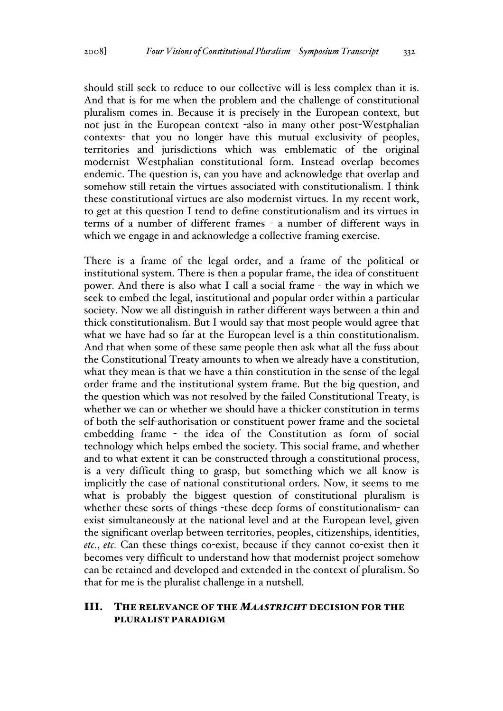should still seek to reduce to our collective will is less complex than it is. And that is for me when the problem and the challenge of constitutional pluralism comes in. Because it is precisely in the European context, but not just in the European context -also in many other post-Westphalian contexts- that you no longer have this mutual exclusivity of peoples, territories and jurisdictions which was emblematic of the original modernist Westphalian constitutional form. Instead overlap becomes endemic. The question is, can you have and acknowledge that overlap and somehow still retain the virtues associated with constitutionalism. I think these constitutional virtues are also modernist virtues. In my recent work, to get at this question I tend to define constitutionalism and its virtues in terms of a number of different frames - a number of different ways in which we engage in and acknowledge a collective framing exercise.

There is a frame of the legal order, and a frame of the political or institutional system. There is then a popular frame, the idea of constituent power. And there is also what I call a social frame - the way in which we seek to embed the legal, institutional and popular order within a particular society. Now we all distinguish in rather different ways between a thin and thick constitutionalism. But I would say that most people would agree that what we have had so far at the European level is a thin constitutionalism. And that when some of these same people then ask what all the fuss about the Constitutional Treaty amounts to when we already have a constitution, what they mean is that we have a thin constitution in the sense of the legal order frame and the institutional system frame. But the big question, and the question which was not resolved by the failed Constitutional Treaty, is whether we can or whether we should have a thicker constitution in terms of both the self-authorisation or constituent power frame and the societal embedding frame - the idea of the Constitution as form of social technology which helps embed the society. This social frame, and whether and to what extent it can be constructed through a constitutional process, is a very difficult thing to grasp, but something which we all know is implicitly the case of national constitutional orders. Now, it seems to me what is probably the biggest question of constitutional pluralism is whether these sorts of things -these deep forms of constitutionalism- can exist simultaneously at the national level and at the European level, given the significant overlap between territories, peoples, citizenships, identities, *etc.*, *etc.* Can these things co-exist, because if they cannot co-exist then it becomes very difficult to understand how that modernist project somehow can be retained and developed and extended in the context of pluralism. So that for me is the pluralist challenge in a nutshell.

### III. THE RELEVANCE OF THE *MAASTRICHT* DECISION FOR THE PLURALIST PARADIGM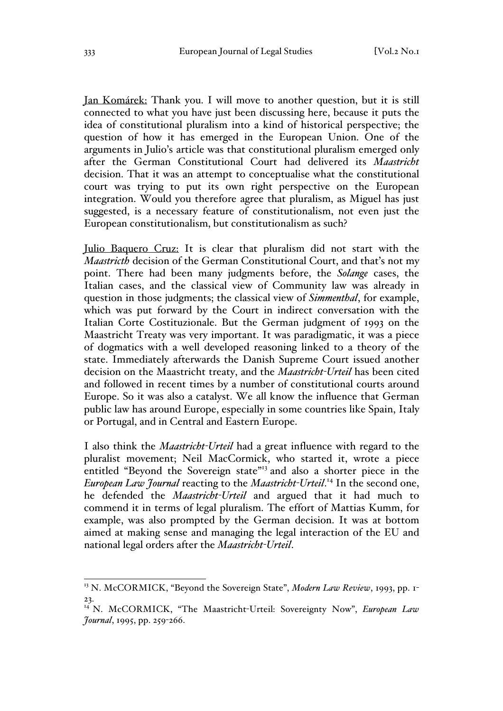Jan Komárek: Thank you. I will move to another question, but it is still connected to what you have just been discussing here, because it puts the idea of constitutional pluralism into a kind of historical perspective; the question of how it has emerged in the European Union. One of the arguments in Julio's article was that constitutional pluralism emerged only after the German Constitutional Court had delivered its *Maastricht* decision. That it was an attempt to conceptualise what the constitutional court was trying to put its own right perspective on the European integration. Would you therefore agree that pluralism, as Miguel has just suggested, is a necessary feature of constitutionalism, not even just the European constitutionalism, but constitutionalism as such?

Julio Baquero Cruz: It is clear that pluralism did not start with the *Maastricth* decision of the German Constitutional Court, and that's not my point. There had been many judgments before, the *Solange* cases, the Italian cases, and the classical view of Community law was already in question in those judgments; the classical view of *Simmenthal*, for example, which was put forward by the Court in indirect conversation with the Italian Corte Costituzionale. But the German judgment of 1993 on the Maastricht Treaty was very important. It was paradigmatic, it was a piece of dogmatics with a well developed reasoning linked to a theory of the state. Immediately afterwards the Danish Supreme Court issued another decision on the Maastricht treaty, and the *Maastricht-Urteil* has been cited and followed in recent times by a number of constitutional courts around Europe. So it was also a catalyst. We all know the influence that German public law has around Europe, especially in some countries like Spain, Italy or Portugal, and in Central and Eastern Europe.

I also think the *Maastricht-Urteil* had a great influence with regard to the pluralist movement; Neil MacCormick, who started it, wrote a piece entitled "Beyond the Sovereign state"<sup>13</sup> and also a shorter piece in the *European Law Journal* reacting to the *Maastricht-Urteil*. <sup>14</sup> In the second one, he defended the *Maastricht-Urteil* and argued that it had much to commend it in terms of legal pluralism. The effort of Mattias Kumm, for example, was also prompted by the German decision. It was at bottom aimed at making sense and managing the legal interaction of the EU and national legal orders after the *Maastricht-Urteil*.

<sup>&</sup>lt;sup>13</sup> N. McCORMICK, "Beyond the Sovereign State", *Modern Law Review*, 1993, pp. 1-23.

<sup>14</sup> N. McCORMICK, "The Maastricht-Urteil: Sovereignty Now", *European Law Journal*, 1995, pp. 259-266.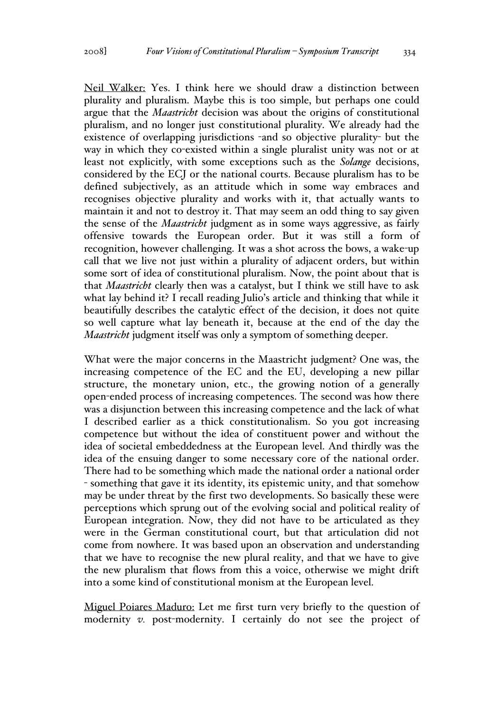Neil Walker: Yes. I think here we should draw a distinction between plurality and pluralism. Maybe this is too simple, but perhaps one could argue that the *Maastricht* decision was about the origins of constitutional pluralism, and no longer just constitutional plurality. We already had the existence of overlapping jurisdictions -and so objective plurality- but the way in which they co-existed within a single pluralist unity was not or at least not explicitly, with some exceptions such as the *Solange* decisions, considered by the ECJ or the national courts. Because pluralism has to be defined subjectively, as an attitude which in some way embraces and recognises objective plurality and works with it, that actually wants to maintain it and not to destroy it. That may seem an odd thing to say given the sense of the *Maastricht* judgment as in some ways aggressive, as fairly offensive towards the European order. But it was still a form of recognition, however challenging. It was a shot across the bows, a wake-up call that we live not just within a plurality of adjacent orders, but within some sort of idea of constitutional pluralism. Now, the point about that is that *Maastricht* clearly then was a catalyst, but I think we still have to ask what lay behind it? I recall reading Julio's article and thinking that while it beautifully describes the catalytic effect of the decision, it does not quite so well capture what lay beneath it, because at the end of the day the *Maastricht* judgment itself was only a symptom of something deeper.

What were the major concerns in the Maastricht judgment? One was, the increasing competence of the EC and the EU, developing a new pillar structure, the monetary union, etc., the growing notion of a generally open-ended process of increasing competences. The second was how there was a disjunction between this increasing competence and the lack of what I described earlier as a thick constitutionalism. So you got increasing competence but without the idea of constituent power and without the idea of societal embeddedness at the European level. And thirdly was the idea of the ensuing danger to some necessary core of the national order. There had to be something which made the national order a national order - something that gave it its identity, its epistemic unity, and that somehow may be under threat by the first two developments. So basically these were perceptions which sprung out of the evolving social and political reality of European integration. Now, they did not have to be articulated as they were in the German constitutional court, but that articulation did not come from nowhere. It was based upon an observation and understanding that we have to recognise the new plural reality, and that we have to give the new pluralism that flows from this a voice, otherwise we might drift into a some kind of constitutional monism at the European level.

Miguel Poiares Maduro: Let me first turn very briefly to the question of modernity *v.* post-modernity. I certainly do not see the project of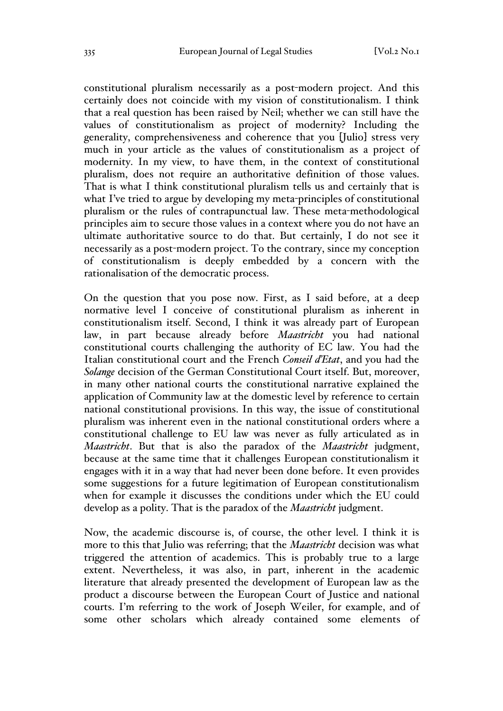constitutional pluralism necessarily as a post-modern project. And this certainly does not coincide with my vision of constitutionalism. I think that a real question has been raised by Neil; whether we can still have the values of constitutionalism as project of modernity? Including the generality, comprehensiveness and coherence that you [Julio] stress very much in your article as the values of constitutionalism as a project of modernity. In my view, to have them, in the context of constitutional pluralism, does not require an authoritative definition of those values. That is what I think constitutional pluralism tells us and certainly that is what I've tried to argue by developing my meta-principles of constitutional pluralism or the rules of contrapunctual law. These meta-methodological principles aim to secure those values in a context where you do not have an ultimate authoritative source to do that. But certainly, I do not see it necessarily as a post-modern project. To the contrary, since my conception of constitutionalism is deeply embedded by a concern with the rationalisation of the democratic process.

On the question that you pose now. First, as I said before, at a deep normative level I conceive of constitutional pluralism as inherent in constitutionalism itself. Second, I think it was already part of European law, in part because already before *Maastricht* you had national constitutional courts challenging the authority of EC law. You had the Italian constitutional court and the French *Conseil d'Etat*, and you had the *Solange* decision of the German Constitutional Court itself. But, moreover, in many other national courts the constitutional narrative explained the application of Community law at the domestic level by reference to certain national constitutional provisions. In this way, the issue of constitutional pluralism was inherent even in the national constitutional orders where a constitutional challenge to EU law was never as fully articulated as in *Maastricht*. But that is also the paradox of the *Maastricht* judgment, because at the same time that it challenges European constitutionalism it engages with it in a way that had never been done before. It even provides some suggestions for a future legitimation of European constitutionalism when for example it discusses the conditions under which the EU could develop as a polity. That is the paradox of the *Maastricht* judgment.

Now, the academic discourse is, of course, the other level. I think it is more to this that Julio was referring; that the *Maastricht* decision was what triggered the attention of academics. This is probably true to a large extent. Nevertheless, it was also, in part, inherent in the academic literature that already presented the development of European law as the product a discourse between the European Court of Justice and national courts. I'm referring to the work of Joseph Weiler, for example, and of some other scholars which already contained some elements of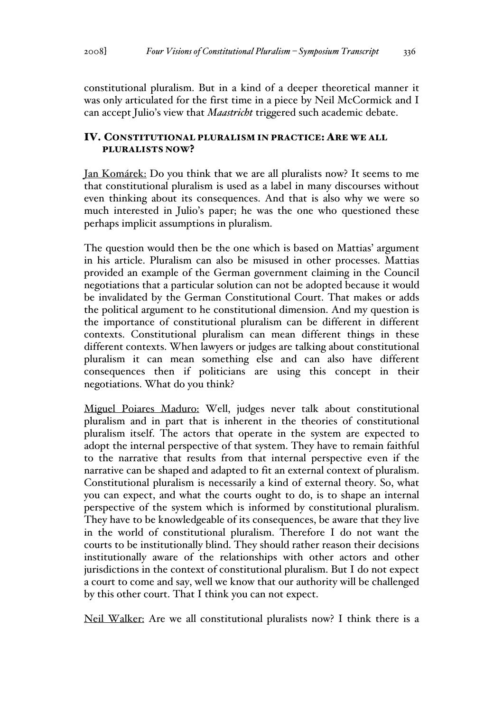constitutional pluralism. But in a kind of a deeper theoretical manner it was only articulated for the first time in a piece by Neil McCormick and I can accept Julio's view that *Maastricht* triggered such academic debate.

## IV. CONSTITUTIONAL PLURALISM IN PRACTICE: ARE WE ALL PLURALISTS NOW?

Jan Komárek: Do you think that we are all pluralists now? It seems to me that constitutional pluralism is used as a label in many discourses without even thinking about its consequences. And that is also why we were so much interested in Julio's paper; he was the one who questioned these perhaps implicit assumptions in pluralism.

The question would then be the one which is based on Mattias' argument in his article. Pluralism can also be misused in other processes. Mattias provided an example of the German government claiming in the Council negotiations that a particular solution can not be adopted because it would be invalidated by the German Constitutional Court. That makes or adds the political argument to he constitutional dimension. And my question is the importance of constitutional pluralism can be different in different contexts. Constitutional pluralism can mean different things in these different contexts. When lawyers or judges are talking about constitutional pluralism it can mean something else and can also have different consequences then if politicians are using this concept in their negotiations. What do you think?

Miguel Poiares Maduro: Well, judges never talk about constitutional pluralism and in part that is inherent in the theories of constitutional pluralism itself. The actors that operate in the system are expected to adopt the internal perspective of that system. They have to remain faithful to the narrative that results from that internal perspective even if the narrative can be shaped and adapted to fit an external context of pluralism. Constitutional pluralism is necessarily a kind of external theory. So, what you can expect, and what the courts ought to do, is to shape an internal perspective of the system which is informed by constitutional pluralism. They have to be knowledgeable of its consequences, be aware that they live in the world of constitutional pluralism. Therefore I do not want the courts to be institutionally blind. They should rather reason their decisions institutionally aware of the relationships with other actors and other jurisdictions in the context of constitutional pluralism. But I do not expect a court to come and say, well we know that our authority will be challenged by this other court. That I think you can not expect.

Neil Walker: Are we all constitutional pluralists now? I think there is a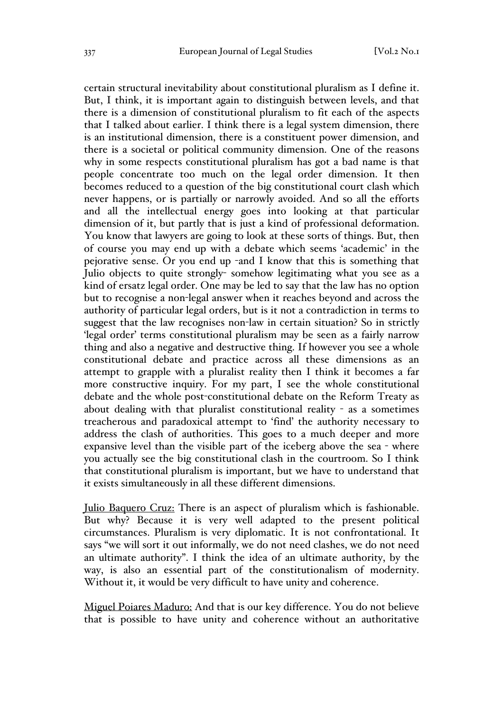certain structural inevitability about constitutional pluralism as I define it. But, I think, it is important again to distinguish between levels, and that there is a dimension of constitutional pluralism to fit each of the aspects that I talked about earlier. I think there is a legal system dimension, there is an institutional dimension, there is a constituent power dimension, and there is a societal or political community dimension. One of the reasons why in some respects constitutional pluralism has got a bad name is that people concentrate too much on the legal order dimension. It then becomes reduced to a question of the big constitutional court clash which never happens, or is partially or narrowly avoided. And so all the efforts and all the intellectual energy goes into looking at that particular dimension of it, but partly that is just a kind of professional deformation. You know that lawyers are going to look at these sorts of things. But, then of course you may end up with a debate which seems 'academic' in the pejorative sense. Or you end up -and I know that this is something that Julio objects to quite strongly- somehow legitimating what you see as a kind of ersatz legal order. One may be led to say that the law has no option but to recognise a non-legal answer when it reaches beyond and across the authority of particular legal orders, but is it not a contradiction in terms to suggest that the law recognises non-law in certain situation? So in strictly 'legal order' terms constitutional pluralism may be seen as a fairly narrow thing and also a negative and destructive thing. If however you see a whole constitutional debate and practice across all these dimensions as an attempt to grapple with a pluralist reality then I think it becomes a far more constructive inquiry. For my part, I see the whole constitutional debate and the whole post-constitutional debate on the Reform Treaty as about dealing with that pluralist constitutional reality - as a sometimes treacherous and paradoxical attempt to 'find' the authority necessary to address the clash of authorities. This goes to a much deeper and more expansive level than the visible part of the iceberg above the sea - where you actually see the big constitutional clash in the courtroom. So I think that constitutional pluralism is important, but we have to understand that it exists simultaneously in all these different dimensions.

Julio Baquero Cruz: There is an aspect of pluralism which is fashionable. But why? Because it is very well adapted to the present political circumstances. Pluralism is very diplomatic. It is not confrontational. It says "we will sort it out informally, we do not need clashes, we do not need an ultimate authority". I think the idea of an ultimate authority, by the way, is also an essential part of the constitutionalism of modernity. Without it, it would be very difficult to have unity and coherence.

Miguel Poiares Maduro: And that is our key difference. You do not believe that is possible to have unity and coherence without an authoritative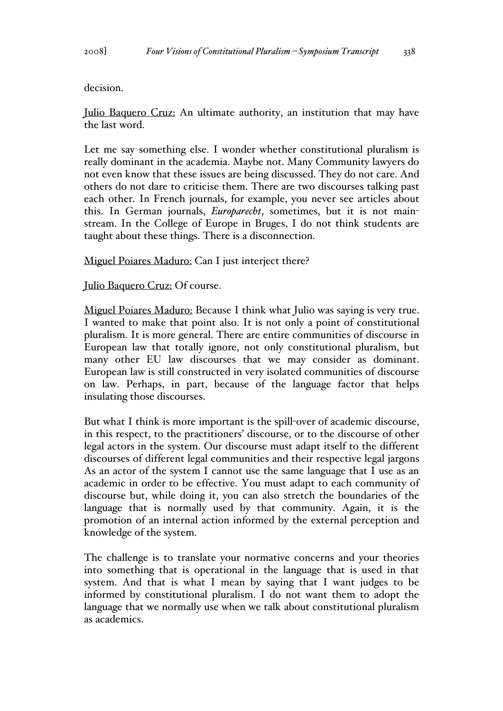decision.

Julio Baquero Cruz: An ultimate authority, an institution that may have the last word.

Let me say something else. I wonder whether constitutional pluralism is really dominant in the academia. Maybe not. Many Community lawyers do not even know that these issues are being discussed. They do not care. And others do not dare to criticise them. There are two discourses talking past each other. In French journals, for example, you never see articles about this. In German journals, *Europarecht*, sometimes, but it is not mainstream. In the College of Europe in Bruges, I do not think students are taught about these things. There is a disconnection.

Miguel Poiares Maduro: Can I just interject there?

Julio Baquero Cruz: Of course.

Miguel Poiares Maduro: Because I think what Julio was saying is very true. I wanted to make that point also. It is not only a point of constitutional pluralism. It is more general. There are entire communities of discourse in European law that totally ignore, not only constitutional pluralism, but many other EU law discourses that we may consider as dominant. European law is still constructed in very isolated communities of discourse on law. Perhaps, in part, because of the language factor that helps insulating those discourses.

But what I think is more important is the spill-over of academic discourse, in this respect, to the practitioners' discourse, or to the discourse of other legal actors in the system. Our discourse must adapt itself to the different discourses of different legal communities and their respective legal jargons As an actor of the system I cannot use the same language that I use as an academic in order to be effective. You must adapt to each community of discourse but, while doing it, you can also stretch the boundaries of the language that is normally used by that community. Again, it is the promotion of an internal action informed by the external perception and knowledge of the system.

The challenge is to translate your normative concerns and your theories into something that is operational in the language that is used in that system. And that is what I mean by saying that I want judges to be informed by constitutional pluralism. I do not want them to adopt the language that we normally use when we talk about constitutional pluralism as academics.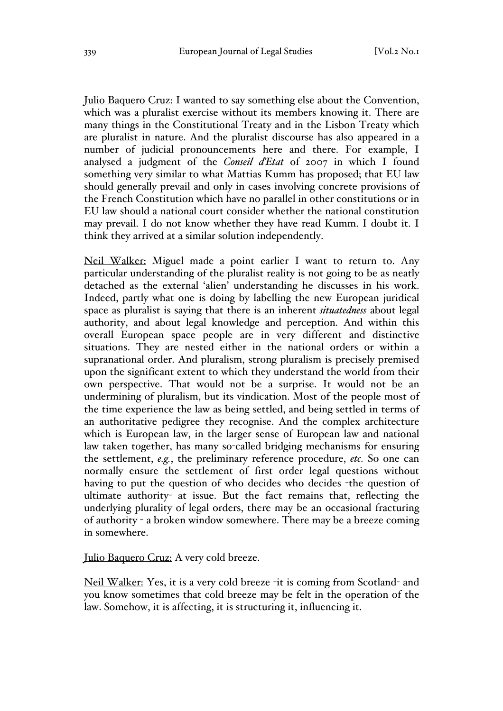Julio Baquero Cruz: I wanted to say something else about the Convention, which was a pluralist exercise without its members knowing it. There are many things in the Constitutional Treaty and in the Lisbon Treaty which are pluralist in nature. And the pluralist discourse has also appeared in a number of judicial pronouncements here and there. For example, I analysed a judgment of the *Conseil d'Etat* of 2007 in which I found something very similar to what Mattias Kumm has proposed; that EU law should generally prevail and only in cases involving concrete provisions of the French Constitution which have no parallel in other constitutions or in EU law should a national court consider whether the national constitution may prevail. I do not know whether they have read Kumm. I doubt it. I think they arrived at a similar solution independently.

Neil Walker: Miguel made a point earlier I want to return to. Any particular understanding of the pluralist reality is not going to be as neatly detached as the external 'alien' understanding he discusses in his work. Indeed, partly what one is doing by labelling the new European juridical space as pluralist is saying that there is an inherent *situatedness* about legal authority, and about legal knowledge and perception. And within this overall European space people are in very different and distinctive situations. They are nested either in the national orders or within a supranational order. And pluralism, strong pluralism is precisely premised upon the significant extent to which they understand the world from their own perspective. That would not be a surprise. It would not be an undermining of pluralism, but its vindication. Most of the people most of the time experience the law as being settled, and being settled in terms of an authoritative pedigree they recognise. And the complex architecture which is European law, in the larger sense of European law and national law taken together, has many so-called bridging mechanisms for ensuring the settlement, *e.g.*, the preliminary reference procedure, *etc.* So one can normally ensure the settlement of first order legal questions without having to put the question of who decides who decides -the question of ultimate authority- at issue. But the fact remains that, reflecting the underlying plurality of legal orders, there may be an occasional fracturing of authority - a broken window somewhere. There may be a breeze coming in somewhere.

Julio Baquero Cruz: A very cold breeze.

Neil Walker: Yes, it is a very cold breeze -it is coming from Scotland- and you know sometimes that cold breeze may be felt in the operation of the law. Somehow, it is affecting, it is structuring it, influencing it.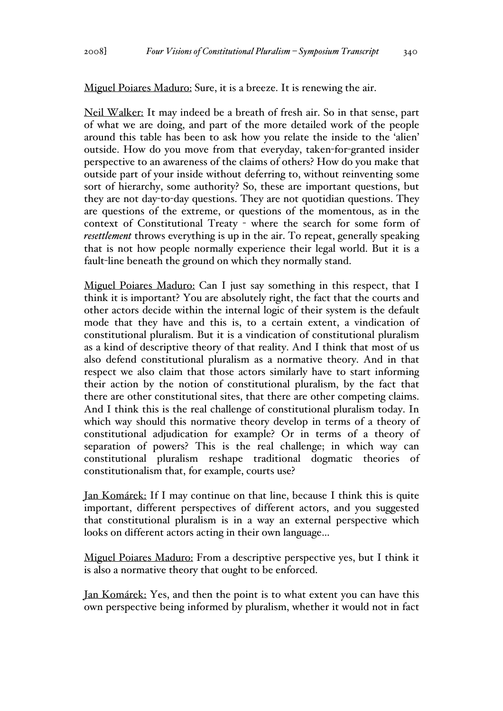Miguel Poiares Maduro: Sure, it is a breeze. It is renewing the air.

Neil Walker: It may indeed be a breath of fresh air. So in that sense, part of what we are doing, and part of the more detailed work of the people around this table has been to ask how you relate the inside to the 'alien' outside. How do you move from that everyday, taken-for-granted insider perspective to an awareness of the claims of others? How do you make that outside part of your inside without deferring to, without reinventing some sort of hierarchy, some authority? So, these are important questions, but they are not day-to-day questions. They are not quotidian questions. They are questions of the extreme, or questions of the momentous, as in the context of Constitutional Treaty - where the search for some form of *resettlement* throws everything is up in the air. To repeat, generally speaking that is not how people normally experience their legal world. But it is a fault-line beneath the ground on which they normally stand.

Miguel Poiares Maduro: Can I just say something in this respect, that I think it is important? You are absolutely right, the fact that the courts and other actors decide within the internal logic of their system is the default mode that they have and this is, to a certain extent, a vindication of constitutional pluralism. But it is a vindication of constitutional pluralism as a kind of descriptive theory of that reality. And I think that most of us also defend constitutional pluralism as a normative theory. And in that respect we also claim that those actors similarly have to start informing their action by the notion of constitutional pluralism, by the fact that there are other constitutional sites, that there are other competing claims. And I think this is the real challenge of constitutional pluralism today. In which way should this normative theory develop in terms of a theory of constitutional adjudication for example? Or in terms of a theory of separation of powers? This is the real challenge; in which way can constitutional pluralism reshape traditional dogmatic theories of constitutionalism that, for example, courts use?

Jan Komárek: If I may continue on that line, because I think this is quite important, different perspectives of different actors, and you suggested that constitutional pluralism is in a way an external perspective which looks on different actors acting in their own language…

Miguel Poiares Maduro: From a descriptive perspective yes, but I think it is also a normative theory that ought to be enforced.

Jan Komárek: Yes, and then the point is to what extent you can have this own perspective being informed by pluralism, whether it would not in fact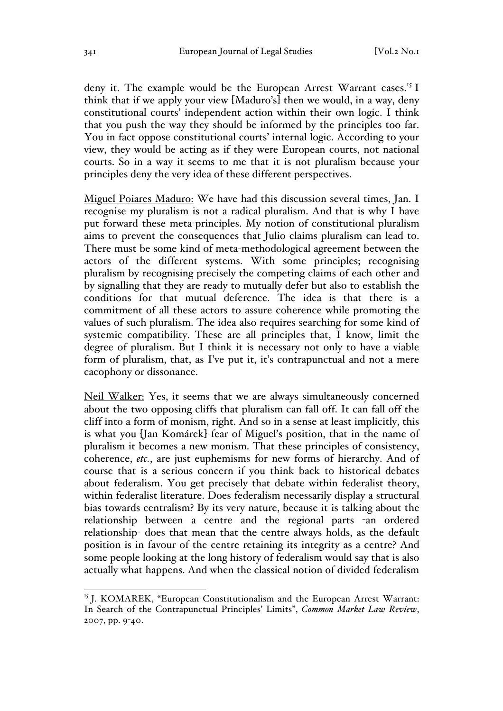deny it. The example would be the European Arrest Warrant cases.<sup>15</sup> I think that if we apply your view [Maduro's] then we would, in a way, deny constitutional courts' independent action within their own logic. I think that you push the way they should be informed by the principles too far. You in fact oppose constitutional courts' internal logic. According to your view, they would be acting as if they were European courts, not national courts. So in a way it seems to me that it is not pluralism because your principles deny the very idea of these different perspectives.

Miguel Poiares Maduro: We have had this discussion several times, Jan. I recognise my pluralism is not a radical pluralism. And that is why I have put forward these meta-principles. My notion of constitutional pluralism aims to prevent the consequences that Julio claims pluralism can lead to. There must be some kind of meta-methodological agreement between the actors of the different systems. With some principles; recognising pluralism by recognising precisely the competing claims of each other and by signalling that they are ready to mutually defer but also to establish the conditions for that mutual deference. The idea is that there is a commitment of all these actors to assure coherence while promoting the values of such pluralism. The idea also requires searching for some kind of systemic compatibility. These are all principles that, I know, limit the degree of pluralism. But I think it is necessary not only to have a viable form of pluralism, that, as I've put it, it's contrapunctual and not a mere cacophony or dissonance.

Neil Walker: Yes, it seems that we are always simultaneously concerned about the two opposing cliffs that pluralism can fall off. It can fall off the cliff into a form of monism, right. And so in a sense at least implicitly, this is what you [Jan Komárek] fear of Miguel's position, that in the name of pluralism it becomes a new monism. That these principles of consistency, coherence, *etc.*, are just euphemisms for new forms of hierarchy. And of course that is a serious concern if you think back to historical debates about federalism. You get precisely that debate within federalist theory, within federalist literature. Does federalism necessarily display a structural bias towards centralism? By its very nature, because it is talking about the relationship between a centre and the regional parts -an ordered relationship- does that mean that the centre always holds, as the default position is in favour of the centre retaining its integrity as a centre? And some people looking at the long history of federalism would say that is also actually what happens. And when the classical notion of divided federalism

<sup>&</sup>lt;sup>15</sup> J. KOMAREK, "European Constitutionalism and the European Arrest Warrant: In Search of the Contrapunctual Principles' Limits", *Common Market Law Review*, 2007, pp. 9-40.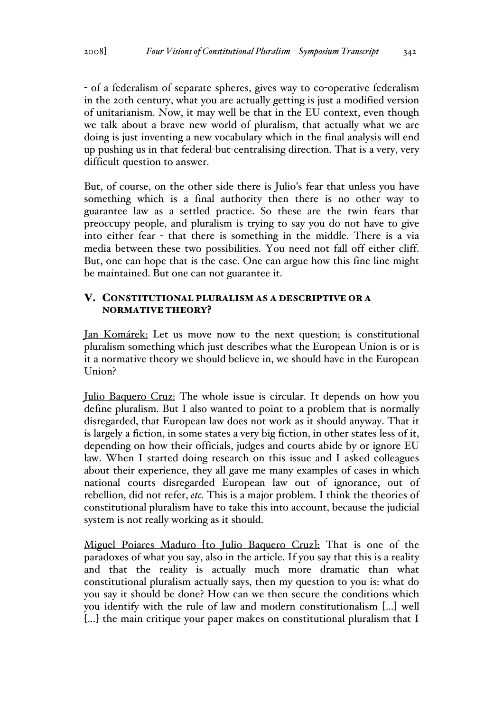- of a federalism of separate spheres, gives way to co-operative federalism in the 20th century, what you are actually getting is just a modified version of unitarianism. Now, it may well be that in the EU context, even though we talk about a brave new world of pluralism, that actually what we are doing is just inventing a new vocabulary which in the final analysis will end up pushing us in that federal-but-centralising direction. That is a very, very difficult question to answer.

But, of course, on the other side there is Julio's fear that unless you have something which is a final authority then there is no other way to guarantee law as a settled practice. So these are the twin fears that preoccupy people, and pluralism is trying to say you do not have to give into either fear - that there is something in the middle. There is a via media between these two possibilities. You need not fall off either cliff. But, one can hope that is the case. One can argue how this fine line might be maintained. But one can not guarantee it.

# V. CONSTITUTIONAL PLURALISM AS A DESCRIPTIVE OR A NORMATIVE THEORY?

Jan Komárek: Let us move now to the next question; is constitutional pluralism something which just describes what the European Union is or is it a normative theory we should believe in, we should have in the European Union?

Julio Baquero Cruz: The whole issue is circular. It depends on how you define pluralism. But I also wanted to point to a problem that is normally disregarded, that European law does not work as it should anyway. That it is largely a fiction, in some states a very big fiction, in other states less of it, depending on how their officials, judges and courts abide by or ignore EU law. When I started doing research on this issue and I asked colleagues about their experience, they all gave me many examples of cases in which national courts disregarded European law out of ignorance, out of rebellion, did not refer, *etc.* This is a major problem. I think the theories of constitutional pluralism have to take this into account, because the judicial system is not really working as it should.

Miguel Poiares Maduro [to Julio Baquero Cruz]: That is one of the paradoxes of what you say, also in the article. If you say that this is a reality and that the reality is actually much more dramatic than what constitutional pluralism actually says, then my question to you is: what do you say it should be done? How can we then secure the conditions which you identify with the rule of law and modern constitutionalism […] well […] the main critique your paper makes on constitutional pluralism that I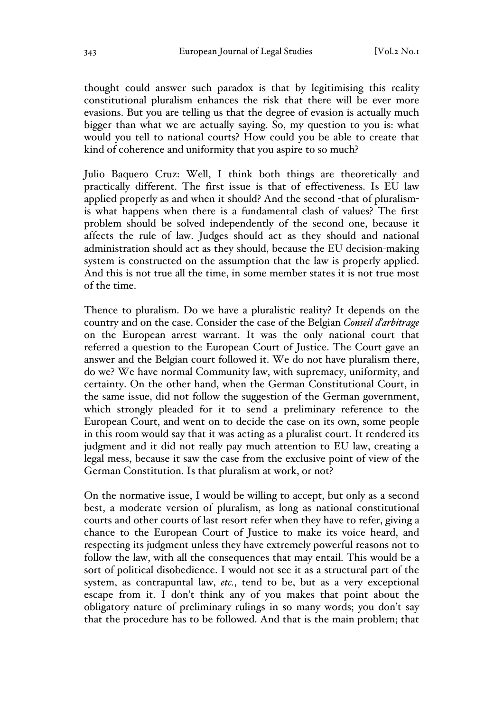thought could answer such paradox is that by legitimising this reality constitutional pluralism enhances the risk that there will be ever more evasions. But you are telling us that the degree of evasion is actually much bigger than what we are actually saying. So, my question to you is: what would you tell to national courts? How could you be able to create that kind of coherence and uniformity that you aspire to so much?

Julio Baquero Cruz: Well, I think both things are theoretically and practically different. The first issue is that of effectiveness. Is EU law applied properly as and when it should? And the second -that of pluralismis what happens when there is a fundamental clash of values? The first problem should be solved independently of the second one, because it affects the rule of law. Judges should act as they should and national administration should act as they should, because the EU decision-making system is constructed on the assumption that the law is properly applied. And this is not true all the time, in some member states it is not true most of the time.

Thence to pluralism. Do we have a pluralistic reality? It depends on the country and on the case. Consider the case of the Belgian *Conseil d'arbitrage* on the European arrest warrant. It was the only national court that referred a question to the European Court of Justice. The Court gave an answer and the Belgian court followed it. We do not have pluralism there, do we? We have normal Community law, with supremacy, uniformity, and certainty. On the other hand, when the German Constitutional Court, in the same issue, did not follow the suggestion of the German government, which strongly pleaded for it to send a preliminary reference to the European Court, and went on to decide the case on its own, some people in this room would say that it was acting as a pluralist court. It rendered its judgment and it did not really pay much attention to EU law, creating a legal mess, because it saw the case from the exclusive point of view of the German Constitution. Is that pluralism at work, or not?

On the normative issue, I would be willing to accept, but only as a second best, a moderate version of pluralism, as long as national constitutional courts and other courts of last resort refer when they have to refer, giving a chance to the European Court of Justice to make its voice heard, and respecting its judgment unless they have extremely powerful reasons not to follow the law, with all the consequences that may entail. This would be a sort of political disobedience. I would not see it as a structural part of the system, as contrapuntal law, *etc.*, tend to be, but as a very exceptional escape from it. I don't think any of you makes that point about the obligatory nature of preliminary rulings in so many words; you don't say that the procedure has to be followed. And that is the main problem; that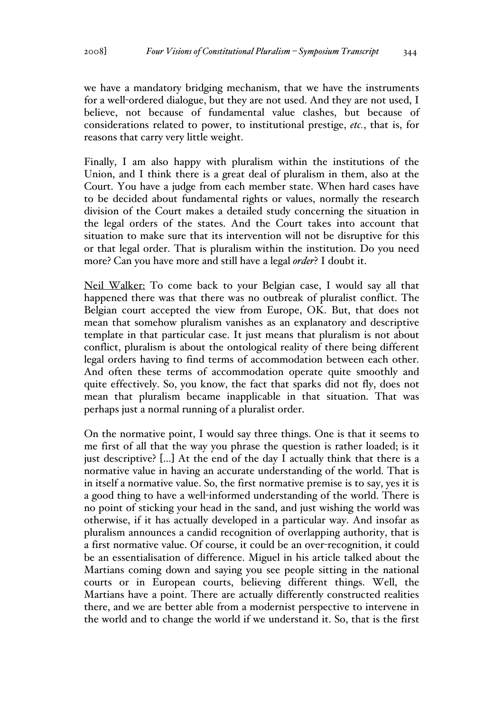we have a mandatory bridging mechanism, that we have the instruments for a well-ordered dialogue, but they are not used. And they are not used, I believe, not because of fundamental value clashes, but because of considerations related to power, to institutional prestige, *etc.*, that is, for reasons that carry very little weight.

Finally, I am also happy with pluralism within the institutions of the Union, and I think there is a great deal of pluralism in them, also at the Court. You have a judge from each member state. When hard cases have to be decided about fundamental rights or values, normally the research division of the Court makes a detailed study concerning the situation in the legal orders of the states. And the Court takes into account that situation to make sure that its intervention will not be disruptive for this or that legal order. That is pluralism within the institution. Do you need more? Can you have more and still have a legal *order*? I doubt it.

Neil Walker: To come back to your Belgian case, I would say all that happened there was that there was no outbreak of pluralist conflict. The Belgian court accepted the view from Europe, OK. But, that does not mean that somehow pluralism vanishes as an explanatory and descriptive template in that particular case. It just means that pluralism is not about conflict, pluralism is about the ontological reality of there being different legal orders having to find terms of accommodation between each other. And often these terms of accommodation operate quite smoothly and quite effectively. So, you know, the fact that sparks did not fly, does not mean that pluralism became inapplicable in that situation. That was perhaps just a normal running of a pluralist order.

On the normative point, I would say three things. One is that it seems to me first of all that the way you phrase the question is rather loaded; is it just descriptive? [...] At the end of the day I actually think that there is a normative value in having an accurate understanding of the world. That is in itself a normative value. So, the first normative premise is to say, yes it is a good thing to have a well-informed understanding of the world. There is no point of sticking your head in the sand, and just wishing the world was otherwise, if it has actually developed in a particular way. And insofar as pluralism announces a candid recognition of overlapping authority, that is a first normative value. Of course, it could be an over-recognition, it could be an essentialisation of difference. Miguel in his article talked about the Martians coming down and saying you see people sitting in the national courts or in European courts, believing different things. Well, the Martians have a point. There are actually differently constructed realities there, and we are better able from a modernist perspective to intervene in the world and to change the world if we understand it. So, that is the first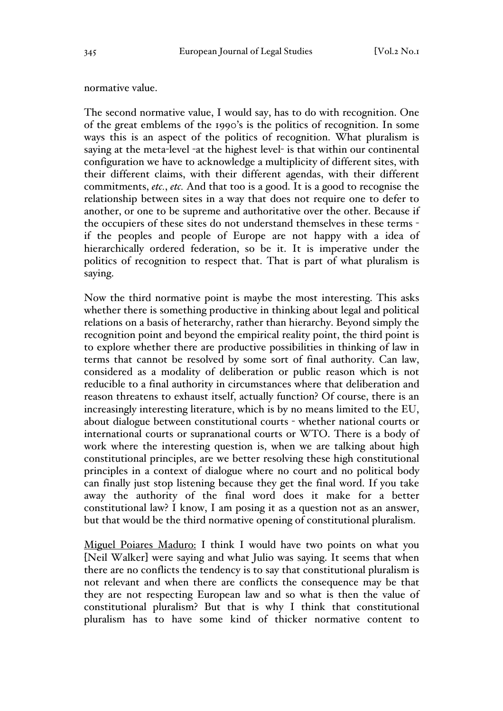#### normative value.

The second normative value, I would say, has to do with recognition. One of the great emblems of the 1990's is the politics of recognition. In some ways this is an aspect of the politics of recognition. What pluralism is saying at the meta-level -at the highest level- is that within our continental configuration we have to acknowledge a multiplicity of different sites, with their different claims, with their different agendas, with their different commitments, *etc.*, *etc.* And that too is a good. It is a good to recognise the relationship between sites in a way that does not require one to defer to another, or one to be supreme and authoritative over the other. Because if the occupiers of these sites do not understand themselves in these terms if the peoples and people of Europe are not happy with a idea of hierarchically ordered federation, so be it. It is imperative under the politics of recognition to respect that. That is part of what pluralism is saying.

Now the third normative point is maybe the most interesting. This asks whether there is something productive in thinking about legal and political relations on a basis of heterarchy, rather than hierarchy. Beyond simply the recognition point and beyond the empirical reality point, the third point is to explore whether there are productive possibilities in thinking of law in terms that cannot be resolved by some sort of final authority. Can law, considered as a modality of deliberation or public reason which is not reducible to a final authority in circumstances where that deliberation and reason threatens to exhaust itself, actually function? Of course, there is an increasingly interesting literature, which is by no means limited to the EU, about dialogue between constitutional courts - whether national courts or international courts or supranational courts or WTO. There is a body of work where the interesting question is, when we are talking about high constitutional principles, are we better resolving these high constitutional principles in a context of dialogue where no court and no political body can finally just stop listening because they get the final word. If you take away the authority of the final word does it make for a better constitutional law? I know, I am posing it as a question not as an answer, but that would be the third normative opening of constitutional pluralism.

Miguel Poiares Maduro: I think I would have two points on what you [Neil Walker] were saying and what Julio was saying. It seems that when there are no conflicts the tendency is to say that constitutional pluralism is not relevant and when there are conflicts the consequence may be that they are not respecting European law and so what is then the value of constitutional pluralism? But that is why I think that constitutional pluralism has to have some kind of thicker normative content to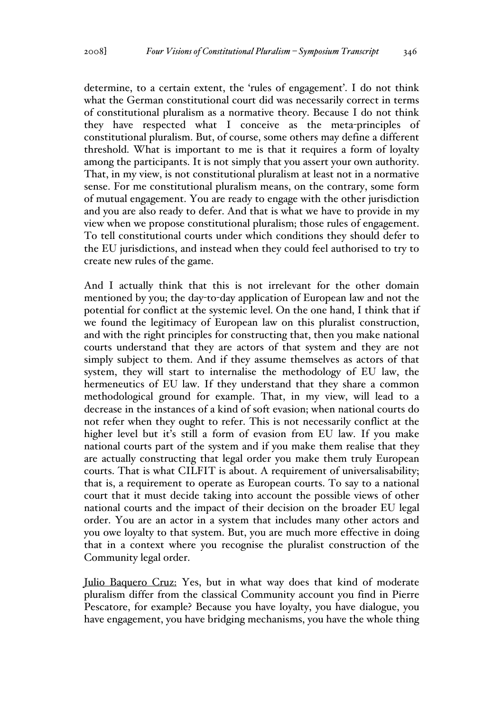determine, to a certain extent, the 'rules of engagement'. I do not think what the German constitutional court did was necessarily correct in terms of constitutional pluralism as a normative theory. Because I do not think they have respected what I conceive as the meta-principles of constitutional pluralism. But, of course, some others may define a different threshold. What is important to me is that it requires a form of loyalty among the participants. It is not simply that you assert your own authority. That, in my view, is not constitutional pluralism at least not in a normative sense. For me constitutional pluralism means, on the contrary, some form of mutual engagement. You are ready to engage with the other jurisdiction and you are also ready to defer. And that is what we have to provide in my view when we propose constitutional pluralism; those rules of engagement. To tell constitutional courts under which conditions they should defer to the EU jurisdictions, and instead when they could feel authorised to try to create new rules of the game.

And I actually think that this is not irrelevant for the other domain mentioned by you; the day-to-day application of European law and not the potential for conflict at the systemic level. On the one hand, I think that if we found the legitimacy of European law on this pluralist construction, and with the right principles for constructing that, then you make national courts understand that they are actors of that system and they are not simply subject to them. And if they assume themselves as actors of that system, they will start to internalise the methodology of EU law, the hermeneutics of EU law. If they understand that they share a common methodological ground for example. That, in my view, will lead to a decrease in the instances of a kind of soft evasion; when national courts do not refer when they ought to refer. This is not necessarily conflict at the higher level but it's still a form of evasion from EU law. If you make national courts part of the system and if you make them realise that they are actually constructing that legal order you make them truly European courts. That is what CILFIT is about. A requirement of universalisability; that is, a requirement to operate as European courts. To say to a national court that it must decide taking into account the possible views of other national courts and the impact of their decision on the broader EU legal order. You are an actor in a system that includes many other actors and you owe loyalty to that system. But, you are much more effective in doing that in a context where you recognise the pluralist construction of the Community legal order.

Julio Baquero Cruz: Yes, but in what way does that kind of moderate pluralism differ from the classical Community account you find in Pierre Pescatore, for example? Because you have loyalty, you have dialogue, you have engagement, you have bridging mechanisms, you have the whole thing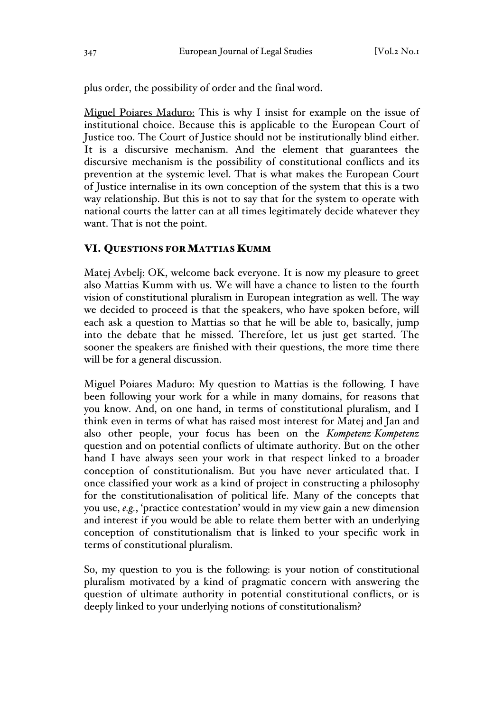plus order, the possibility of order and the final word.

Miguel Poiares Maduro: This is why I insist for example on the issue of institutional choice. Because this is applicable to the European Court of Justice too. The Court of Justice should not be institutionally blind either. It is a discursive mechanism. And the element that guarantees the discursive mechanism is the possibility of constitutional conflicts and its prevention at the systemic level. That is what makes the European Court of Justice internalise in its own conception of the system that this is a two way relationship. But this is not to say that for the system to operate with national courts the latter can at all times legitimately decide whatever they want. That is not the point.

### VI. QUESTIONS FOR MATTIAS KUMM

Matej Avbelj: OK, welcome back everyone. It is now my pleasure to greet also Mattias Kumm with us. We will have a chance to listen to the fourth vision of constitutional pluralism in European integration as well. The way we decided to proceed is that the speakers, who have spoken before, will each ask a question to Mattias so that he will be able to, basically, jump into the debate that he missed. Therefore, let us just get started. The sooner the speakers are finished with their questions, the more time there will be for a general discussion.

Miguel Poiares Maduro: My question to Mattias is the following. I have been following your work for a while in many domains, for reasons that you know. And, on one hand, in terms of constitutional pluralism, and I think even in terms of what has raised most interest for Matej and Jan and also other people, your focus has been on the *Kompetenz-Kompetenz* question and on potential conflicts of ultimate authority. But on the other hand I have always seen your work in that respect linked to a broader conception of constitutionalism. But you have never articulated that. I once classified your work as a kind of project in constructing a philosophy for the constitutionalisation of political life. Many of the concepts that you use, *e.g.*, 'practice contestation' would in my view gain a new dimension and interest if you would be able to relate them better with an underlying conception of constitutionalism that is linked to your specific work in terms of constitutional pluralism.

So, my question to you is the following: is your notion of constitutional pluralism motivated by a kind of pragmatic concern with answering the question of ultimate authority in potential constitutional conflicts, or is deeply linked to your underlying notions of constitutionalism?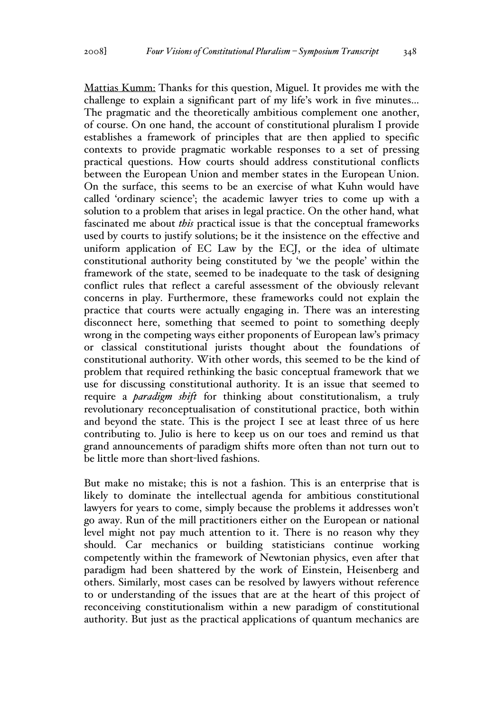Mattias Kumm: Thanks for this question, Miguel. It provides me with the challenge to explain a significant part of my life's work in five minutes… The pragmatic and the theoretically ambitious complement one another, of course. On one hand, the account of constitutional pluralism I provide establishes a framework of principles that are then applied to specific contexts to provide pragmatic workable responses to a set of pressing practical questions. How courts should address constitutional conflicts between the European Union and member states in the European Union. On the surface, this seems to be an exercise of what Kuhn would have called 'ordinary science'; the academic lawyer tries to come up with a solution to a problem that arises in legal practice. On the other hand, what fascinated me about *this* practical issue is that the conceptual frameworks used by courts to justify solutions; be it the insistence on the effective and uniform application of EC Law by the ECJ, or the idea of ultimate constitutional authority being constituted by 'we the people' within the framework of the state, seemed to be inadequate to the task of designing conflict rules that reflect a careful assessment of the obviously relevant concerns in play. Furthermore, these frameworks could not explain the practice that courts were actually engaging in. There was an interesting disconnect here, something that seemed to point to something deeply wrong in the competing ways either proponents of European law's primacy or classical constitutional jurists thought about the foundations of constitutional authority. With other words, this seemed to be the kind of problem that required rethinking the basic conceptual framework that we use for discussing constitutional authority. It is an issue that seemed to require a *paradigm shift* for thinking about constitutionalism, a truly revolutionary reconceptualisation of constitutional practice, both within and beyond the state. This is the project I see at least three of us here contributing to. Julio is here to keep us on our toes and remind us that grand announcements of paradigm shifts more often than not turn out to be little more than short-lived fashions.

But make no mistake; this is not a fashion. This is an enterprise that is likely to dominate the intellectual agenda for ambitious constitutional lawyers for years to come, simply because the problems it addresses won't go away. Run of the mill practitioners either on the European or national level might not pay much attention to it. There is no reason why they should. Car mechanics or building statisticians continue working competently within the framework of Newtonian physics, even after that paradigm had been shattered by the work of Einstein, Heisenberg and others. Similarly, most cases can be resolved by lawyers without reference to or understanding of the issues that are at the heart of this project of reconceiving constitutionalism within a new paradigm of constitutional authority. But just as the practical applications of quantum mechanics are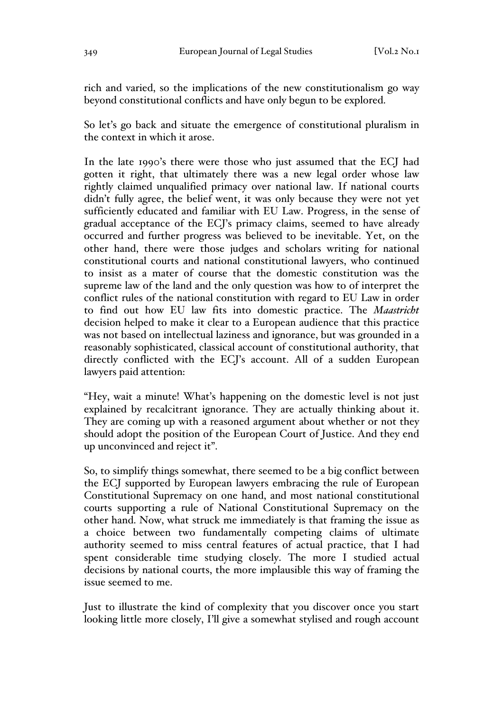rich and varied, so the implications of the new constitutionalism go way beyond constitutional conflicts and have only begun to be explored.

So let's go back and situate the emergence of constitutional pluralism in the context in which it arose.

In the late 1990's there were those who just assumed that the ECJ had gotten it right, that ultimately there was a new legal order whose law rightly claimed unqualified primacy over national law. If national courts didn't fully agree, the belief went, it was only because they were not yet sufficiently educated and familiar with EU Law. Progress, in the sense of gradual acceptance of the ECJ's primacy claims, seemed to have already occurred and further progress was believed to be inevitable. Yet, on the other hand, there were those judges and scholars writing for national constitutional courts and national constitutional lawyers, who continued to insist as a mater of course that the domestic constitution was the supreme law of the land and the only question was how to of interpret the conflict rules of the national constitution with regard to EU Law in order to find out how EU law fits into domestic practice. The *Maastricht* decision helped to make it clear to a European audience that this practice was not based on intellectual laziness and ignorance, but was grounded in a reasonably sophisticated, classical account of constitutional authority, that directly conflicted with the ECJ's account. All of a sudden European lawyers paid attention:

"Hey, wait a minute! What's happening on the domestic level is not just explained by recalcitrant ignorance. They are actually thinking about it. They are coming up with a reasoned argument about whether or not they should adopt the position of the European Court of Justice. And they end up unconvinced and reject it".

So, to simplify things somewhat, there seemed to be a big conflict between the ECJ supported by European lawyers embracing the rule of European Constitutional Supremacy on one hand, and most national constitutional courts supporting a rule of National Constitutional Supremacy on the other hand. Now, what struck me immediately is that framing the issue as a choice between two fundamentally competing claims of ultimate authority seemed to miss central features of actual practice, that I had spent considerable time studying closely. The more I studied actual decisions by national courts, the more implausible this way of framing the issue seemed to me.

Just to illustrate the kind of complexity that you discover once you start looking little more closely, I'll give a somewhat stylised and rough account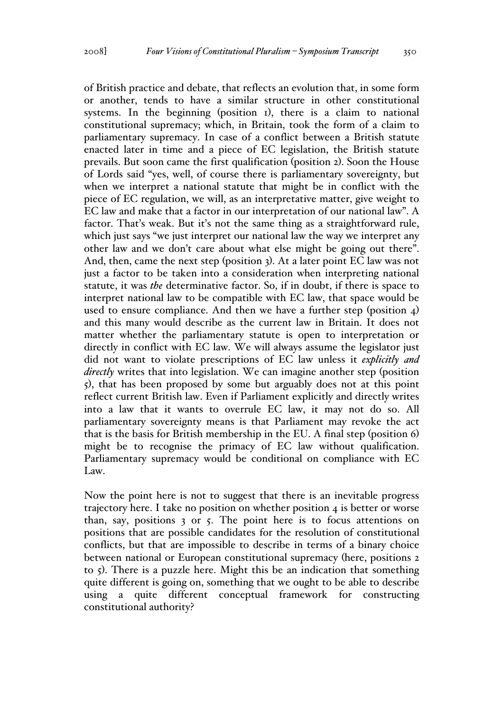of British practice and debate, that reflects an evolution that, in some form or another, tends to have a similar structure in other constitutional systems. In the beginning (position 1), there is a claim to national constitutional supremacy; which, in Britain, took the form of a claim to parliamentary supremacy. In case of a conflict between a British statute enacted later in time and a piece of EC legislation, the British statute prevails. But soon came the first qualification (position 2). Soon the House of Lords said "yes, well, of course there is parliamentary sovereignty, but when we interpret a national statute that might be in conflict with the piece of EC regulation, we will, as an interpretative matter, give weight to EC law and make that a factor in our interpretation of our national law". A factor. That's weak. But it's not the same thing as a straightforward rule, which just says "we just interpret our national law the way we interpret any other law and we don't care about what else might be going out there". And, then, came the next step (position 3). At a later point EC law was not just a factor to be taken into a consideration when interpreting national statute, it was *the* determinative factor. So, if in doubt, if there is space to interpret national law to be compatible with EC law, that space would be used to ensure compliance. And then we have a further step (position  $4$ ) and this many would describe as the current law in Britain. It does not matter whether the parliamentary statute is open to interpretation or directly in conflict with EC law. We will always assume the legislator just did not want to violate prescriptions of EC law unless it *explicitly and directly* writes that into legislation. We can imagine another step (position 5), that has been proposed by some but arguably does not at this point reflect current British law. Even if Parliament explicitly and directly writes into a law that it wants to overrule EC law, it may not do so. All parliamentary sovereignty means is that Parliament may revoke the act that is the basis for British membership in the EU. A final step (position 6) might be to recognise the primacy of EC law without qualification. Parliamentary supremacy would be conditional on compliance with EC Law.

Now the point here is not to suggest that there is an inevitable progress trajectory here. I take no position on whether position 4 is better or worse than, say, positions 3 or 5. The point here is to focus attentions on positions that are possible candidates for the resolution of constitutional conflicts, but that are impossible to describe in terms of a binary choice between national or European constitutional supremacy (here, positions 2 to 5). There is a puzzle here. Might this be an indication that something quite different is going on, something that we ought to be able to describe using a quite different conceptual framework for constructing constitutional authority?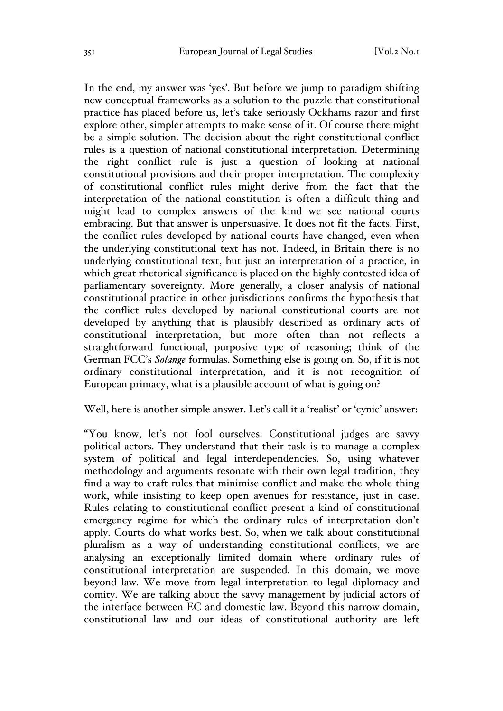In the end, my answer was 'yes'. But before we jump to paradigm shifting new conceptual frameworks as a solution to the puzzle that constitutional practice has placed before us, let's take seriously Ockhams razor and first explore other, simpler attempts to make sense of it. Of course there might be a simple solution. The decision about the right constitutional conflict rules is a question of national constitutional interpretation. Determining the right conflict rule is just a question of looking at national constitutional provisions and their proper interpretation. The complexity of constitutional conflict rules might derive from the fact that the interpretation of the national constitution is often a difficult thing and might lead to complex answers of the kind we see national courts embracing. But that answer is unpersuasive. It does not fit the facts. First, the conflict rules developed by national courts have changed, even when the underlying constitutional text has not. Indeed, in Britain there is no underlying constitutional text, but just an interpretation of a practice, in which great rhetorical significance is placed on the highly contested idea of parliamentary sovereignty. More generally, a closer analysis of national constitutional practice in other jurisdictions confirms the hypothesis that the conflict rules developed by national constitutional courts are not developed by anything that is plausibly described as ordinary acts of constitutional interpretation, but more often than not reflects a straightforward functional, purposive type of reasoning; think of the German FCC's *Solange* formulas. Something else is going on. So, if it is not ordinary constitutional interpretation, and it is not recognition of European primacy, what is a plausible account of what is going on?

#### Well, here is another simple answer. Let's call it a 'realist' or 'cynic' answer:

"You know, let's not fool ourselves. Constitutional judges are savvy political actors. They understand that their task is to manage a complex system of political and legal interdependencies. So, using whatever methodology and arguments resonate with their own legal tradition, they find a way to craft rules that minimise conflict and make the whole thing work, while insisting to keep open avenues for resistance, just in case. Rules relating to constitutional conflict present a kind of constitutional emergency regime for which the ordinary rules of interpretation don't apply. Courts do what works best. So, when we talk about constitutional pluralism as a way of understanding constitutional conflicts, we are analysing an exceptionally limited domain where ordinary rules of constitutional interpretation are suspended. In this domain, we move beyond law. We move from legal interpretation to legal diplomacy and comity. We are talking about the savvy management by judicial actors of the interface between EC and domestic law. Beyond this narrow domain, constitutional law and our ideas of constitutional authority are left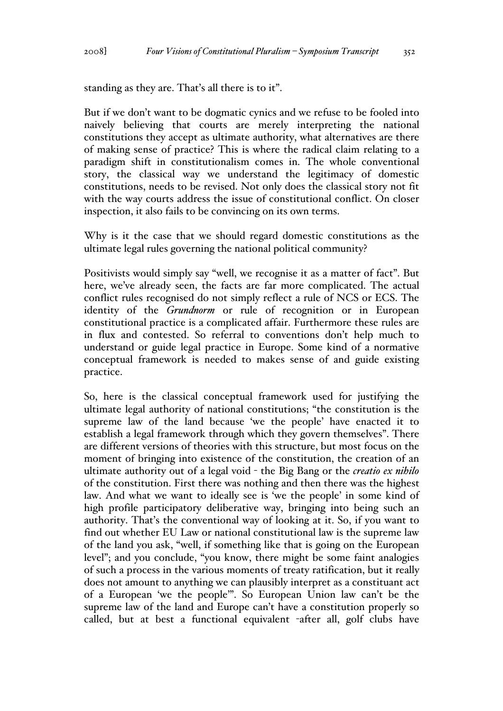standing as they are. That's all there is to it".

But if we don't want to be dogmatic cynics and we refuse to be fooled into naively believing that courts are merely interpreting the national constitutions they accept as ultimate authority, what alternatives are there of making sense of practice? This is where the radical claim relating to a paradigm shift in constitutionalism comes in. The whole conventional story, the classical way we understand the legitimacy of domestic constitutions, needs to be revised. Not only does the classical story not fit with the way courts address the issue of constitutional conflict. On closer inspection, it also fails to be convincing on its own terms.

Why is it the case that we should regard domestic constitutions as the ultimate legal rules governing the national political community?

Positivists would simply say "well, we recognise it as a matter of fact". But here, we've already seen, the facts are far more complicated. The actual conflict rules recognised do not simply reflect a rule of NCS or ECS. The identity of the *Grundnorm* or rule of recognition or in European constitutional practice is a complicated affair. Furthermore these rules are in flux and contested. So referral to conventions don't help much to understand or guide legal practice in Europe. Some kind of a normative conceptual framework is needed to makes sense of and guide existing practice.

So, here is the classical conceptual framework used for justifying the ultimate legal authority of national constitutions; "the constitution is the supreme law of the land because 'we the people' have enacted it to establish a legal framework through which they govern themselves". There are different versions of theories with this structure, but most focus on the moment of bringing into existence of the constitution, the creation of an ultimate authority out of a legal void - the Big Bang or the *creatio ex nihilo* of the constitution. First there was nothing and then there was the highest law. And what we want to ideally see is 'we the people' in some kind of high profile participatory deliberative way, bringing into being such an authority. That's the conventional way of looking at it. So, if you want to find out whether EU Law or national constitutional law is the supreme law of the land you ask, "well, if something like that is going on the European level"; and you conclude, "you know, there might be some faint analogies of such a process in the various moments of treaty ratification, but it really does not amount to anything we can plausibly interpret as a constituant act of a European 'we the people'". So European Union law can't be the supreme law of the land and Europe can't have a constitution properly so called, but at best a functional equivalent -after all, golf clubs have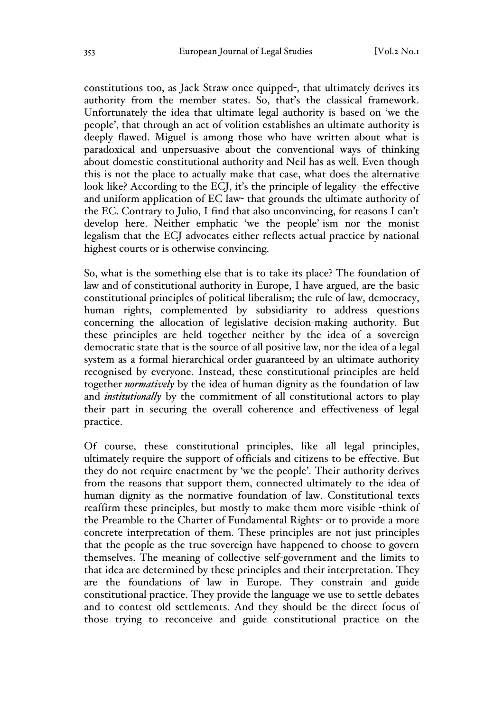constitutions too, as Jack Straw once quipped-, that ultimately derives its authority from the member states. So, that's the classical framework. Unfortunately the idea that ultimate legal authority is based on 'we the people', that through an act of volition establishes an ultimate authority is deeply flawed. Miguel is among those who have written about what is paradoxical and unpersuasive about the conventional ways of thinking about domestic constitutional authority and Neil has as well. Even though this is not the place to actually make that case, what does the alternative look like? According to the ECJ, it's the principle of legality -the effective and uniform application of EC law- that grounds the ultimate authority of the EC. Contrary to Julio, I find that also unconvincing, for reasons I can't develop here. Neither emphatic 'we the people'-ism nor the monist legalism that the ECJ advocates either reflects actual practice by national highest courts or is otherwise convincing.

So, what is the something else that is to take its place? The foundation of law and of constitutional authority in Europe, I have argued, are the basic constitutional principles of political liberalism; the rule of law, democracy, human rights, complemented by subsidiarity to address questions concerning the allocation of legislative decision-making authority. But these principles are held together neither by the idea of a sovereign democratic state that is the source of all positive law, nor the idea of a legal system as a formal hierarchical order guaranteed by an ultimate authority recognised by everyone. Instead, these constitutional principles are held together *normatively* by the idea of human dignity as the foundation of law and *institutionally* by the commitment of all constitutional actors to play their part in securing the overall coherence and effectiveness of legal practice.

Of course, these constitutional principles, like all legal principles, ultimately require the support of officials and citizens to be effective. But they do not require enactment by 'we the people'. Their authority derives from the reasons that support them, connected ultimately to the idea of human dignity as the normative foundation of law. Constitutional texts reaffirm these principles, but mostly to make them more visible -think of the Preamble to the Charter of Fundamental Rights- or to provide a more concrete interpretation of them. These principles are not just principles that the people as the true sovereign have happened to choose to govern themselves. The meaning of collective self-government and the limits to that idea are determined by these principles and their interpretation. They are the foundations of law in Europe. They constrain and guide constitutional practice. They provide the language we use to settle debates and to contest old settlements. And they should be the direct focus of those trying to reconceive and guide constitutional practice on the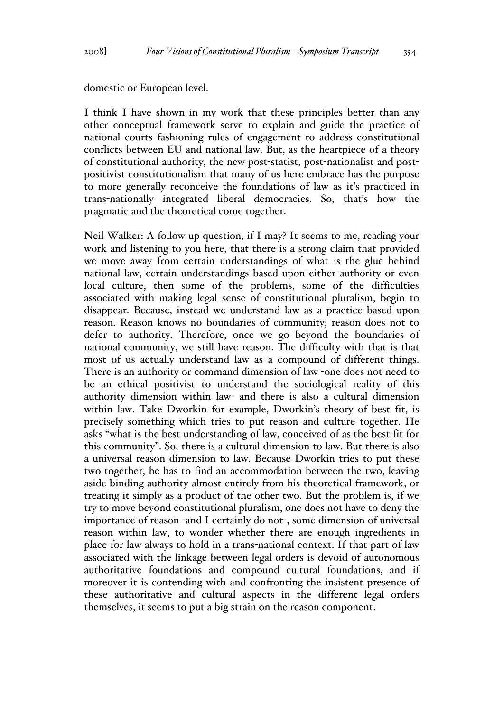domestic or European level.

I think I have shown in my work that these principles better than any other conceptual framework serve to explain and guide the practice of national courts fashioning rules of engagement to address constitutional conflicts between EU and national law. But, as the heartpiece of a theory of constitutional authority, the new post-statist, post-nationalist and postpositivist constitutionalism that many of us here embrace has the purpose to more generally reconceive the foundations of law as it's practiced in trans-nationally integrated liberal democracies. So, that's how the pragmatic and the theoretical come together.

Neil Walker: A follow up question, if I may? It seems to me, reading your work and listening to you here, that there is a strong claim that provided we move away from certain understandings of what is the glue behind national law, certain understandings based upon either authority or even local culture, then some of the problems, some of the difficulties associated with making legal sense of constitutional pluralism, begin to disappear. Because, instead we understand law as a practice based upon reason. Reason knows no boundaries of community; reason does not to defer to authority. Therefore, once we go beyond the boundaries of national community, we still have reason. The difficulty with that is that most of us actually understand law as a compound of different things. There is an authority or command dimension of law -one does not need to be an ethical positivist to understand the sociological reality of this authority dimension within law- and there is also a cultural dimension within law. Take Dworkin for example, Dworkin's theory of best fit, is precisely something which tries to put reason and culture together. He asks "what is the best understanding of law, conceived of as the best fit for this community". So, there is a cultural dimension to law. But there is also a universal reason dimension to law. Because Dworkin tries to put these two together, he has to find an accommodation between the two, leaving aside binding authority almost entirely from his theoretical framework, or treating it simply as a product of the other two. But the problem is, if we try to move beyond constitutional pluralism, one does not have to deny the importance of reason -and I certainly do not-, some dimension of universal reason within law, to wonder whether there are enough ingredients in place for law always to hold in a trans-national context. If that part of law associated with the linkage between legal orders is devoid of autonomous authoritative foundations and compound cultural foundations, and if moreover it is contending with and confronting the insistent presence of these authoritative and cultural aspects in the different legal orders themselves, it seems to put a big strain on the reason component.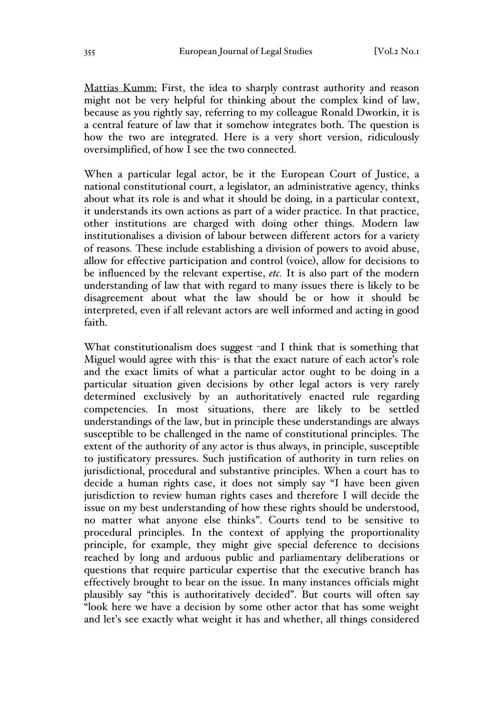Mattias Kumm: First, the idea to sharply contrast authority and reason might not be very helpful for thinking about the complex kind of law, because as you rightly say, referring to my colleague Ronald Dworkin, it is a central feature of law that it somehow integrates both. The question is how the two are integrated. Here is a very short version, ridiculously oversimplified, of how I see the two connected.

When a particular legal actor, be it the European Court of Justice, a national constitutional court, a legislator, an administrative agency, thinks about what its role is and what it should be doing, in a particular context, it understands its own actions as part of a wider practice. In that practice, other institutions are charged with doing other things. Modern law institutionalises a division of labour between different actors for a variety of reasons. These include establishing a division of powers to avoid abuse, allow for effective participation and control (voice), allow for decisions to be influenced by the relevant expertise, *etc.* It is also part of the modern understanding of law that with regard to many issues there is likely to be disagreement about what the law should be or how it should be interpreted, even if all relevant actors are well informed and acting in good faith.

What constitutionalism does suggest -and I think that is something that Miguel would agree with this- is that the exact nature of each actor's role and the exact limits of what a particular actor ought to be doing in a particular situation given decisions by other legal actors is very rarely determined exclusively by an authoritatively enacted rule regarding competencies. In most situations, there are likely to be settled understandings of the law, but in principle these understandings are always susceptible to be challenged in the name of constitutional principles. The extent of the authority of any actor is thus always, in principle, susceptible to justificatory pressures. Such justification of authority in turn relies on jurisdictional, procedural and substantive principles. When a court has to decide a human rights case, it does not simply say "I have been given jurisdiction to review human rights cases and therefore I will decide the issue on my best understanding of how these rights should be understood, no matter what anyone else thinks". Courts tend to be sensitive to procedural principles. In the context of applying the proportionality principle, for example, they might give special deference to decisions reached by long and arduous public and parliamentary deliberations or questions that require particular expertise that the executive branch has effectively brought to bear on the issue. In many instances officials might plausibly say "this is authoritatively decided". But courts will often say "look here we have a decision by some other actor that has some weight and let's see exactly what weight it has and whether, all things considered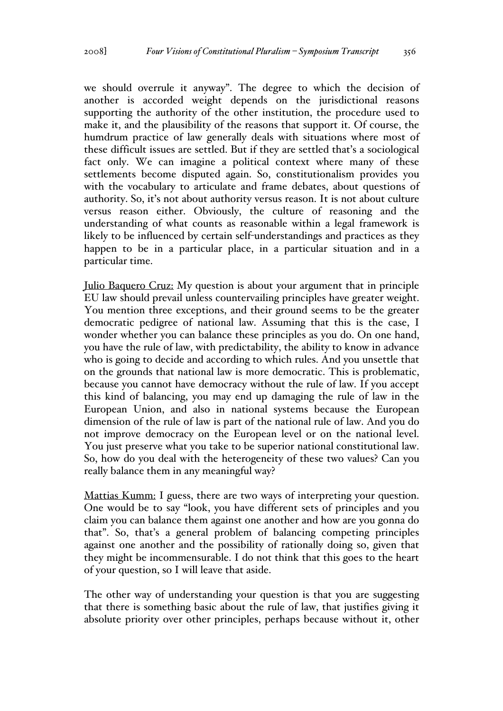we should overrule it anyway". The degree to which the decision of another is accorded weight depends on the jurisdictional reasons supporting the authority of the other institution, the procedure used to make it, and the plausibility of the reasons that support it. Of course, the humdrum practice of law generally deals with situations where most of these difficult issues are settled. But if they are settled that's a sociological fact only. We can imagine a political context where many of these settlements become disputed again. So, constitutionalism provides you with the vocabulary to articulate and frame debates, about questions of authority. So, it's not about authority versus reason. It is not about culture versus reason either. Obviously, the culture of reasoning and the understanding of what counts as reasonable within a legal framework is likely to be influenced by certain self-understandings and practices as they happen to be in a particular place, in a particular situation and in a particular time.

Julio Baquero Cruz: My question is about your argument that in principle EU law should prevail unless countervailing principles have greater weight. You mention three exceptions, and their ground seems to be the greater democratic pedigree of national law. Assuming that this is the case, I wonder whether you can balance these principles as you do. On one hand, you have the rule of law, with predictability, the ability to know in advance who is going to decide and according to which rules. And you unsettle that on the grounds that national law is more democratic. This is problematic, because you cannot have democracy without the rule of law. If you accept this kind of balancing, you may end up damaging the rule of law in the European Union, and also in national systems because the European dimension of the rule of law is part of the national rule of law. And you do not improve democracy on the European level or on the national level. You just preserve what you take to be superior national constitutional law. So, how do you deal with the heterogeneity of these two values? Can you really balance them in any meaningful way?

Mattias Kumm: I guess, there are two ways of interpreting your question. One would be to say "look, you have different sets of principles and you claim you can balance them against one another and how are you gonna do that". So, that's a general problem of balancing competing principles against one another and the possibility of rationally doing so, given that they might be incommensurable. I do not think that this goes to the heart of your question, so I will leave that aside.

The other way of understanding your question is that you are suggesting that there is something basic about the rule of law, that justifies giving it absolute priority over other principles, perhaps because without it, other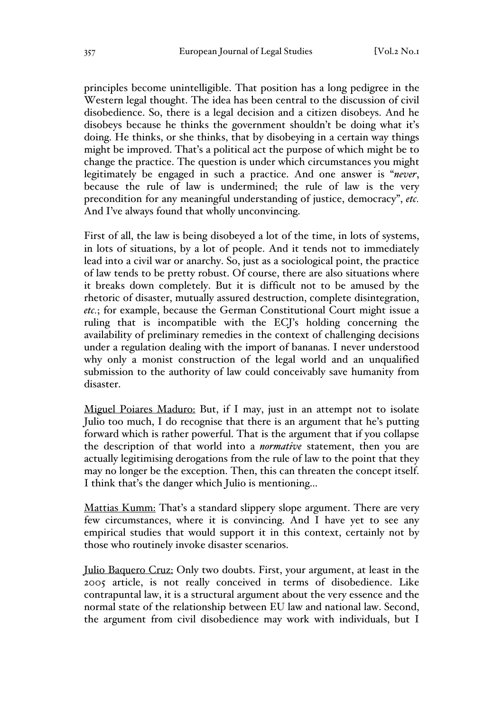principles become unintelligible. That position has a long pedigree in the Western legal thought. The idea has been central to the discussion of civil disobedience. So, there is a legal decision and a citizen disobeys. And he disobeys because he thinks the government shouldn't be doing what it's doing. He thinks, or she thinks, that by disobeying in a certain way things might be improved. That's a political act the purpose of which might be to change the practice. The question is under which circumstances you might legitimately be engaged in such a practice. And one answer is "*never*, because the rule of law is undermined; the rule of law is the very precondition for any meaningful understanding of justice, democracy", *etc.* And I've always found that wholly unconvincing.

First of all, the law is being disobeyed a lot of the time, in lots of systems, in lots of situations, by a lot of people. And it tends not to immediately lead into a civil war or anarchy. So, just as a sociological point, the practice of law tends to be pretty robust. Of course, there are also situations where it breaks down completely. But it is difficult not to be amused by the rhetoric of disaster, mutually assured destruction, complete disintegration, *etc.*; for example, because the German Constitutional Court might issue a ruling that is incompatible with the ECJ's holding concerning the availability of preliminary remedies in the context of challenging decisions under a regulation dealing with the import of bananas. I never understood why only a monist construction of the legal world and an unqualified submission to the authority of law could conceivably save humanity from disaster.

Miguel Poiares Maduro: But, if I may, just in an attempt not to isolate Julio too much, I do recognise that there is an argument that he's putting forward which is rather powerful. That is the argument that if you collapse the description of that world into a *normative* statement, then you are actually legitimising derogations from the rule of law to the point that they may no longer be the exception. Then, this can threaten the concept itself. I think that's the danger which Julio is mentioning...

Mattias Kumm: That's a standard slippery slope argument. There are very few circumstances, where it is convincing. And I have yet to see any empirical studies that would support it in this context, certainly not by those who routinely invoke disaster scenarios.

Julio Baquero Cruz: Only two doubts. First, your argument, at least in the 2005 article, is not really conceived in terms of disobedience. Like contrapuntal law, it is a structural argument about the very essence and the normal state of the relationship between EU law and national law. Second, the argument from civil disobedience may work with individuals, but I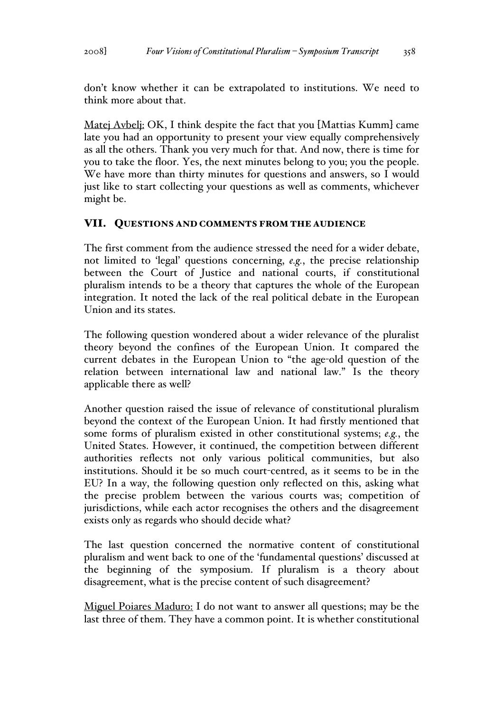don't know whether it can be extrapolated to institutions. We need to think more about that.

Matej Avbelj: OK, I think despite the fact that you [Mattias Kumm] came late you had an opportunity to present your view equally comprehensively as all the others. Thank you very much for that. And now, there is time for you to take the floor. Yes, the next minutes belong to you; you the people. We have more than thirty minutes for questions and answers, so I would just like to start collecting your questions as well as comments, whichever might be.

### VII. QUESTIONS AND COMMENTS FROM THE AUDIENCE

The first comment from the audience stressed the need for a wider debate, not limited to 'legal' questions concerning, *e.g.*, the precise relationship between the Court of Justice and national courts, if constitutional pluralism intends to be a theory that captures the whole of the European integration. It noted the lack of the real political debate in the European Union and its states.

The following question wondered about a wider relevance of the pluralist theory beyond the confines of the European Union. It compared the current debates in the European Union to "the age-old question of the relation between international law and national law." Is the theory applicable there as well?

Another question raised the issue of relevance of constitutional pluralism beyond the context of the European Union. It had firstly mentioned that some forms of pluralism existed in other constitutional systems; *e.g.*, the United States. However, it continued, the competition between different authorities reflects not only various political communities, but also institutions. Should it be so much court-centred, as it seems to be in the EU? In a way, the following question only reflected on this, asking what the precise problem between the various courts was; competition of jurisdictions, while each actor recognises the others and the disagreement exists only as regards who should decide what?

The last question concerned the normative content of constitutional pluralism and went back to one of the 'fundamental questions' discussed at the beginning of the symposium. If pluralism is a theory about disagreement, what is the precise content of such disagreement?

Miguel Poiares Maduro: I do not want to answer all questions; may be the last three of them. They have a common point. It is whether constitutional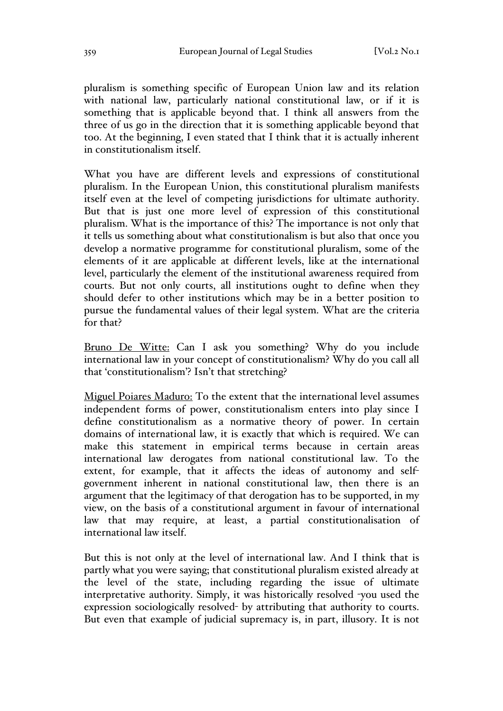pluralism is something specific of European Union law and its relation with national law, particularly national constitutional law, or if it is something that is applicable beyond that. I think all answers from the three of us go in the direction that it is something applicable beyond that too. At the beginning, I even stated that I think that it is actually inherent in constitutionalism itself.

What you have are different levels and expressions of constitutional pluralism. In the European Union, this constitutional pluralism manifests itself even at the level of competing jurisdictions for ultimate authority. But that is just one more level of expression of this constitutional pluralism. What is the importance of this? The importance is not only that it tells us something about what constitutionalism is but also that once you develop a normative programme for constitutional pluralism, some of the elements of it are applicable at different levels, like at the international level, particularly the element of the institutional awareness required from courts. But not only courts, all institutions ought to define when they should defer to other institutions which may be in a better position to pursue the fundamental values of their legal system. What are the criteria for that?

Bruno De Witte: Can I ask you something? Why do you include international law in your concept of constitutionalism? Why do you call all that 'constitutionalism'? Isn't that stretching?

Miguel Poiares Maduro: To the extent that the international level assumes independent forms of power, constitutionalism enters into play since I define constitutionalism as a normative theory of power. In certain domains of international law, it is exactly that which is required. We can make this statement in empirical terms because in certain areas international law derogates from national constitutional law. To the extent, for example, that it affects the ideas of autonomy and selfgovernment inherent in national constitutional law, then there is an argument that the legitimacy of that derogation has to be supported, in my view, on the basis of a constitutional argument in favour of international law that may require, at least, a partial constitutionalisation of international law itself.

But this is not only at the level of international law. And I think that is partly what you were saying; that constitutional pluralism existed already at the level of the state, including regarding the issue of ultimate interpretative authority. Simply, it was historically resolved -you used the expression sociologically resolved- by attributing that authority to courts. But even that example of judicial supremacy is, in part, illusory. It is not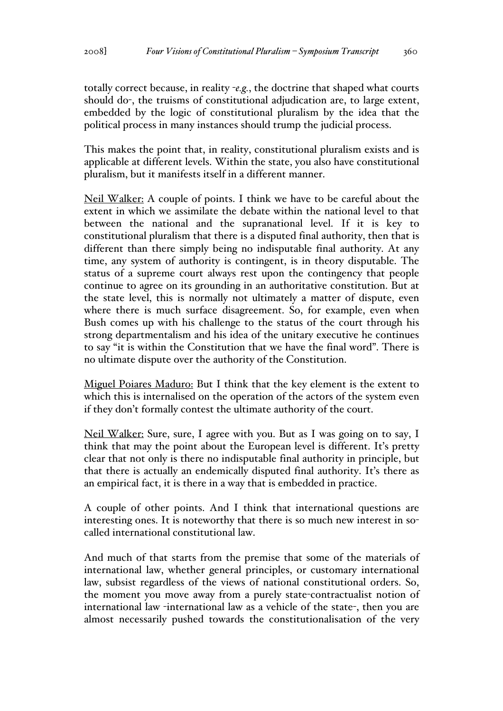totally correct because, in reality -*e.g.*, the doctrine that shaped what courts should do-, the truisms of constitutional adjudication are, to large extent, embedded by the logic of constitutional pluralism by the idea that the political process in many instances should trump the judicial process.

This makes the point that, in reality, constitutional pluralism exists and is applicable at different levels. Within the state, you also have constitutional pluralism, but it manifests itself in a different manner.

Neil Walker: A couple of points. I think we have to be careful about the extent in which we assimilate the debate within the national level to that between the national and the supranational level. If it is key to constitutional pluralism that there is a disputed final authority, then that is different than there simply being no indisputable final authority. At any time, any system of authority is contingent, is in theory disputable. The status of a supreme court always rest upon the contingency that people continue to agree on its grounding in an authoritative constitution. But at the state level, this is normally not ultimately a matter of dispute, even where there is much surface disagreement. So, for example, even when Bush comes up with his challenge to the status of the court through his strong departmentalism and his idea of the unitary executive he continues to say "it is within the Constitution that we have the final word". There is no ultimate dispute over the authority of the Constitution.

Miguel Poiares Maduro: But I think that the key element is the extent to which this is internalised on the operation of the actors of the system even if they don't formally contest the ultimate authority of the court.

Neil Walker: Sure, sure, I agree with you. But as I was going on to say, I think that may the point about the European level is different. It's pretty clear that not only is there no indisputable final authority in principle, but that there is actually an endemically disputed final authority. It's there as an empirical fact, it is there in a way that is embedded in practice.

A couple of other points. And I think that international questions are interesting ones. It is noteworthy that there is so much new interest in socalled international constitutional law.

And much of that starts from the premise that some of the materials of international law, whether general principles, or customary international law, subsist regardless of the views of national constitutional orders. So, the moment you move away from a purely state-contractualist notion of international law -international law as a vehicle of the state-, then you are almost necessarily pushed towards the constitutionalisation of the very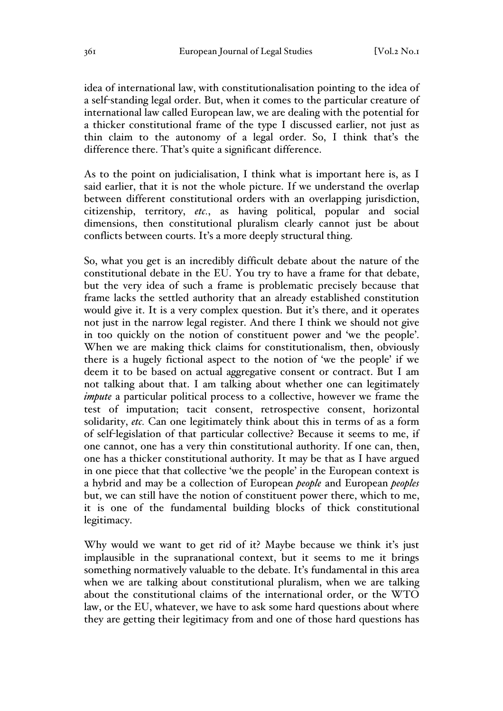idea of international law, with constitutionalisation pointing to the idea of a self-standing legal order. But, when it comes to the particular creature of international law called European law, we are dealing with the potential for a thicker constitutional frame of the type I discussed earlier, not just as thin claim to the autonomy of a legal order. So, I think that's the difference there. That's quite a significant difference.

As to the point on judicialisation, I think what is important here is, as I said earlier, that it is not the whole picture. If we understand the overlap between different constitutional orders with an overlapping jurisdiction, citizenship, territory, *etc.*, as having political, popular and social dimensions, then constitutional pluralism clearly cannot just be about conflicts between courts. It's a more deeply structural thing.

So, what you get is an incredibly difficult debate about the nature of the constitutional debate in the EU. You try to have a frame for that debate, but the very idea of such a frame is problematic precisely because that frame lacks the settled authority that an already established constitution would give it. It is a very complex question. But it's there, and it operates not just in the narrow legal register. And there I think we should not give in too quickly on the notion of constituent power and 'we the people'. When we are making thick claims for constitutionalism, then, obviously there is a hugely fictional aspect to the notion of 'we the people' if we deem it to be based on actual aggregative consent or contract. But I am not talking about that. I am talking about whether one can legitimately *impute* a particular political process to a collective, however we frame the test of imputation; tacit consent, retrospective consent, horizontal solidarity, *etc.* Can one legitimately think about this in terms of as a form of self-legislation of that particular collective? Because it seems to me, if one cannot, one has a very thin constitutional authority. If one can, then, one has a thicker constitutional authority. It may be that as I have argued in one piece that that collective 'we the people' in the European context is a hybrid and may be a collection of European *people* and European *peoples* but, we can still have the notion of constituent power there, which to me, it is one of the fundamental building blocks of thick constitutional legitimacy.

Why would we want to get rid of it? Maybe because we think it's just implausible in the supranational context, but it seems to me it brings something normatively valuable to the debate. It's fundamental in this area when we are talking about constitutional pluralism, when we are talking about the constitutional claims of the international order, or the WTO law, or the EU, whatever, we have to ask some hard questions about where they are getting their legitimacy from and one of those hard questions has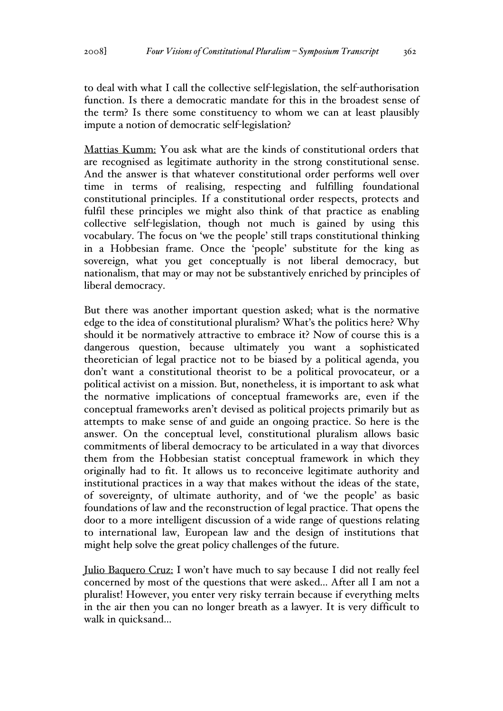to deal with what I call the collective self-legislation, the self-authorisation function. Is there a democratic mandate for this in the broadest sense of the term? Is there some constituency to whom we can at least plausibly impute a notion of democratic self-legislation?

Mattias Kumm: You ask what are the kinds of constitutional orders that are recognised as legitimate authority in the strong constitutional sense. And the answer is that whatever constitutional order performs well over time in terms of realising, respecting and fulfilling foundational constitutional principles. If a constitutional order respects, protects and fulfil these principles we might also think of that practice as enabling collective self-legislation, though not much is gained by using this vocabulary. The focus on 'we the people' still traps constitutional thinking in a Hobbesian frame. Once the 'people' substitute for the king as sovereign, what you get conceptually is not liberal democracy, but nationalism, that may or may not be substantively enriched by principles of liberal democracy.

But there was another important question asked; what is the normative edge to the idea of constitutional pluralism? What's the politics here? Why should it be normatively attractive to embrace it? Now of course this is a dangerous question, because ultimately you want a sophisticated theoretician of legal practice not to be biased by a political agenda, you don't want a constitutional theorist to be a political provocateur, or a political activist on a mission. But, nonetheless, it is important to ask what the normative implications of conceptual frameworks are, even if the conceptual frameworks aren't devised as political projects primarily but as attempts to make sense of and guide an ongoing practice. So here is the answer. On the conceptual level, constitutional pluralism allows basic commitments of liberal democracy to be articulated in a way that divorces them from the Hobbesian statist conceptual framework in which they originally had to fit. It allows us to reconceive legitimate authority and institutional practices in a way that makes without the ideas of the state, of sovereignty, of ultimate authority, and of 'we the people' as basic foundations of law and the reconstruction of legal practice. That opens the door to a more intelligent discussion of a wide range of questions relating to international law, European law and the design of institutions that might help solve the great policy challenges of the future.

Julio Baquero Cruz: I won't have much to say because I did not really feel concerned by most of the questions that were asked... After all I am not a pluralist! However, you enter very risky terrain because if everything melts in the air then you can no longer breath as a lawyer. It is very difficult to walk in quicksand...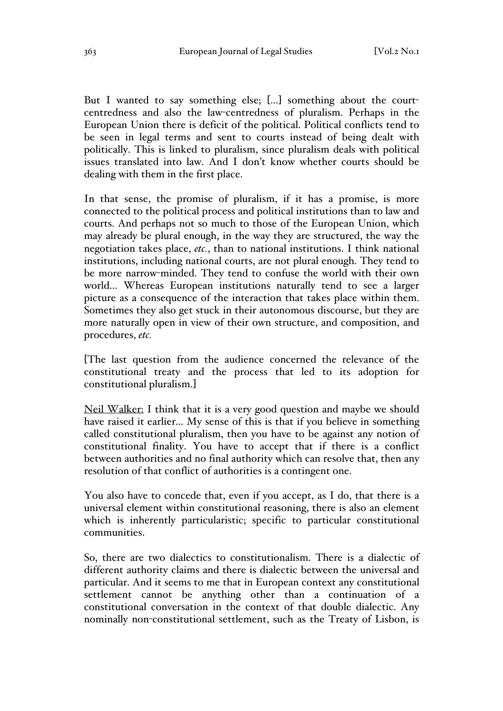But I wanted to say something else; [...] something about the courtcentredness and also the law-centredness of pluralism. Perhaps in the European Union there is deficit of the political. Political conflicts tend to be seen in legal terms and sent to courts instead of being dealt with politically. This is linked to pluralism, since pluralism deals with political issues translated into law. And I don't know whether courts should be dealing with them in the first place.

In that sense, the promise of pluralism, if it has a promise, is more connected to the political process and political institutions than to law and courts. And perhaps not so much to those of the European Union, which may already be plural enough, in the way they are structured, the way the negotiation takes place, *etc.*, than to national institutions. I think national institutions, including national courts, are not plural enough. They tend to be more narrow-minded. They tend to confuse the world with their own world… Whereas European institutions naturally tend to see a larger picture as a consequence of the interaction that takes place within them. Sometimes they also get stuck in their autonomous discourse, but they are more naturally open in view of their own structure, and composition, and procedures, *etc.*

[The last question from the audience concerned the relevance of the constitutional treaty and the process that led to its adoption for constitutional pluralism.]

Neil Walker: I think that it is a very good question and maybe we should have raised it earlier... My sense of this is that if you believe in something called constitutional pluralism, then you have to be against any notion of constitutional finality. You have to accept that if there is a conflict between authorities and no final authority which can resolve that, then any resolution of that conflict of authorities is a contingent one.

You also have to concede that, even if you accept, as I do, that there is a universal element within constitutional reasoning, there is also an element which is inherently particularistic; specific to particular constitutional communities.

So, there are two dialectics to constitutionalism. There is a dialectic of different authority claims and there is dialectic between the universal and particular. And it seems to me that in European context any constitutional settlement cannot be anything other than a continuation of a constitutional conversation in the context of that double dialectic. Any nominally non-constitutional settlement, such as the Treaty of Lisbon, is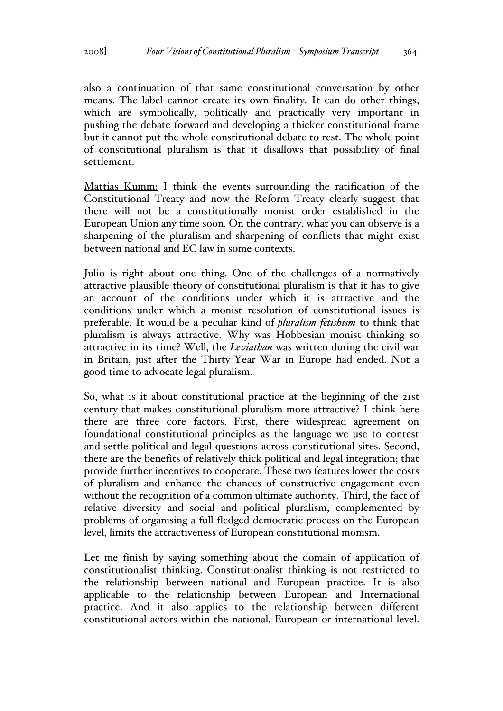also a continuation of that same constitutional conversation by other means. The label cannot create its own finality. It can do other things, which are symbolically, politically and practically very important in pushing the debate forward and developing a thicker constitutional frame but it cannot put the whole constitutional debate to rest. The whole point of constitutional pluralism is that it disallows that possibility of final settlement.

Mattias Kumm: I think the events surrounding the ratification of the Constitutional Treaty and now the Reform Treaty clearly suggest that there will not be a constitutionally monist order established in the European Union any time soon. On the contrary, what you can observe is a sharpening of the pluralism and sharpening of conflicts that might exist between national and EC law in some contexts.

Julio is right about one thing. One of the challenges of a normatively attractive plausible theory of constitutional pluralism is that it has to give an account of the conditions under which it is attractive and the conditions under which a monist resolution of constitutional issues is preferable. It would be a peculiar kind of *pluralism fetishism* to think that pluralism is always attractive. Why was Hobbesian monist thinking so attractive in its time? Well, the *Leviathan* was written during the civil war in Britain, just after the Thirty-Year War in Europe had ended. Not a good time to advocate legal pluralism.

So, what is it about constitutional practice at the beginning of the 21st century that makes constitutional pluralism more attractive? I think here there are three core factors. First, there widespread agreement on foundational constitutional principles as the language we use to contest and settle political and legal questions across constitutional sites. Second, there are the benefits of relatively thick political and legal integration; that provide further incentives to cooperate. These two features lower the costs of pluralism and enhance the chances of constructive engagement even without the recognition of a common ultimate authority. Third, the fact of relative diversity and social and political pluralism, complemented by problems of organising a full-fledged democratic process on the European level, limits the attractiveness of European constitutional monism.

Let me finish by saying something about the domain of application of constitutionalist thinking. Constitutionalist thinking is not restricted to the relationship between national and European practice. It is also applicable to the relationship between European and International practice. And it also applies to the relationship between different constitutional actors within the national, European or international level.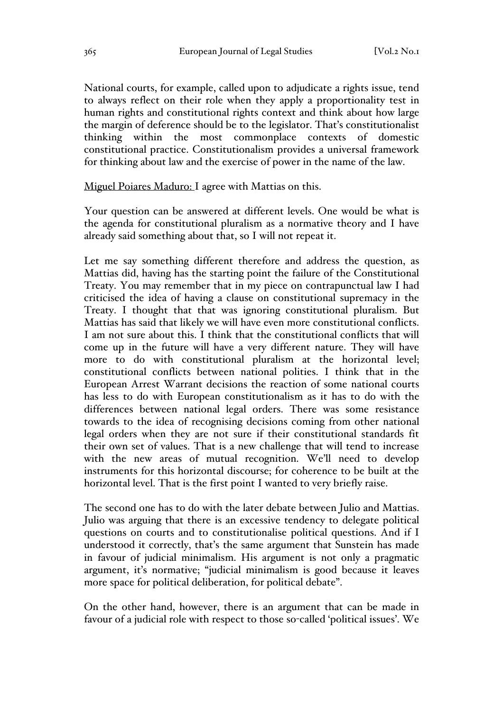National courts, for example, called upon to adjudicate a rights issue, tend to always reflect on their role when they apply a proportionality test in human rights and constitutional rights context and think about how large the margin of deference should be to the legislator. That's constitutionalist thinking within the most commonplace contexts of domestic constitutional practice. Constitutionalism provides a universal framework for thinking about law and the exercise of power in the name of the law.

Miguel Poiares Maduro: I agree with Mattias on this.

Your question can be answered at different levels. One would be what is the agenda for constitutional pluralism as a normative theory and I have already said something about that, so I will not repeat it.

Let me say something different therefore and address the question, as Mattias did, having has the starting point the failure of the Constitutional Treaty. You may remember that in my piece on contrapunctual law I had criticised the idea of having a clause on constitutional supremacy in the Treaty. I thought that that was ignoring constitutional pluralism. But Mattias has said that likely we will have even more constitutional conflicts. I am not sure about this. I think that the constitutional conflicts that will come up in the future will have a very different nature. They will have more to do with constitutional pluralism at the horizontal level; constitutional conflicts between national polities. I think that in the European Arrest Warrant decisions the reaction of some national courts has less to do with European constitutionalism as it has to do with the differences between national legal orders. There was some resistance towards to the idea of recognising decisions coming from other national legal orders when they are not sure if their constitutional standards fit their own set of values. That is a new challenge that will tend to increase with the new areas of mutual recognition. We'll need to develop instruments for this horizontal discourse; for coherence to be built at the horizontal level. That is the first point I wanted to very briefly raise.

The second one has to do with the later debate between Julio and Mattias. Julio was arguing that there is an excessive tendency to delegate political questions on courts and to constitutionalise political questions. And if I understood it correctly, that's the same argument that Sunstein has made in favour of judicial minimalism. His argument is not only a pragmatic argument, it's normative; "judicial minimalism is good because it leaves more space for political deliberation, for political debate".

On the other hand, however, there is an argument that can be made in favour of a judicial role with respect to those so-called 'political issues'. We